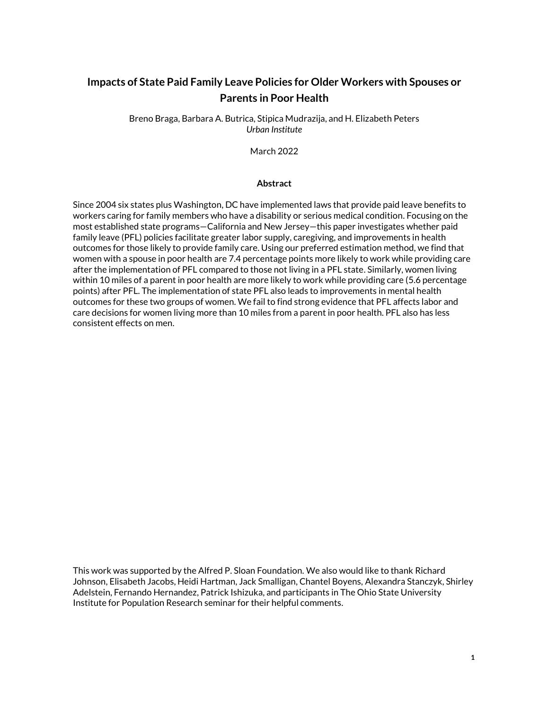# **Impacts of State Paid Family Leave Policies for Older Workers with Spouses or Parents in Poor Health**

Breno Braga, Barbara A. Butrica, Stipica Mudrazija, and H. Elizabeth Peters *Urban Institute*

March 2022

#### **Abstract**

Since 2004 six states plus Washington, DC have implemented laws that provide paid leave benefits to workers caring for family members who have a disability or serious medical condition. Focusing on the most established state programs—California and New Jersey—this paper investigates whether paid family leave (PFL) policies facilitate greater labor supply, caregiving, and improvements in health outcomes for those likely to provide family care. Using our preferred estimation method, we find that women with a spouse in poor health are 7.4 percentage points more likely to work while providing care after the implementation of PFL compared to those not living in a PFL state. Similarly, women living within 10 miles of a parent in poor health are more likely to work while providing care (5.6 percentage points) after PFL. The implementation of state PFL also leads to improvements in mental health outcomes for these two groups of women. We fail to find strong evidence that PFL affects labor and care decisions for women living more than 10 miles from a parent in poor health. PFL also has less consistent effects on men.

This work was supported by the Alfred P. Sloan Foundation. We also would like to thank Richard Johnson, Elisabeth Jacobs, Heidi Hartman, Jack Smalligan, Chantel Boyens, Alexandra Stanczyk, Shirley Adelstein, Fernando Hernandez, Patrick Ishizuka, and participants in The Ohio State University Institute for Population Research seminar for their helpful comments.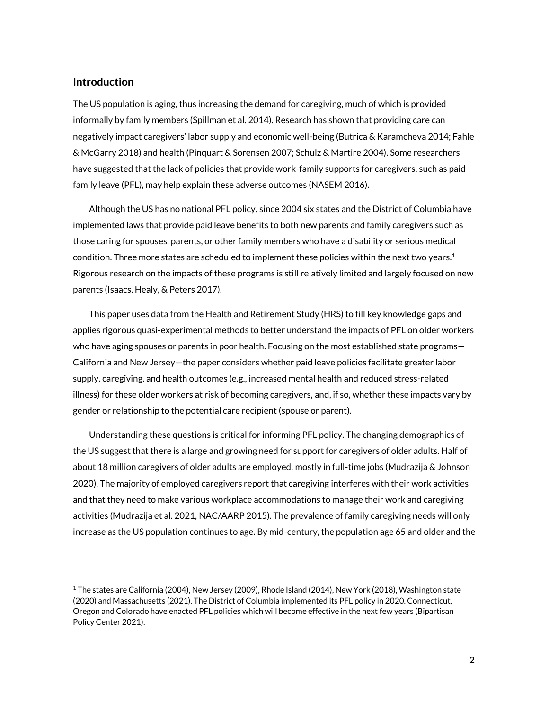## **Introduction**

 $\overline{a}$ 

The US population is aging, thus increasing the demand for caregiving, much of which is provided informally by family members (Spillman et al. 2014). Research has shown that providing care can negatively impact caregivers' labor supply and economic well-being (Butrica & Karamcheva 2014; Fahle & McGarry 2018) and health (Pinquart & Sorensen 2007; Schulz & Martire 2004). Some researchers have suggested that the lack of policies that provide work-family supports for caregivers, such as paid family leave (PFL), may help explain these adverse outcomes (NASEM 2016).

Although the US has no national PFL policy, since 2004 six states and the District of Columbia have implemented laws that provide paid leave benefits to both new parents and family caregivers such as those caring for spouses, parents, or other family members who have a disability or serious medical condition. Three more states are scheduled to implement these policies within the next two years. $^1$ Rigorous research on the impacts of these programs is still relatively limited and largely focused on new parents (Isaacs, Healy, & Peters 2017).

This paper uses data from the Health and Retirement Study (HRS) to fill key knowledge gaps and applies rigorous quasi-experimental methods to better understand the impacts of PFL on older workers who have aging spouses or parents in poor health. Focusing on the most established state programs— California and New Jersey—the paper considers whether paid leave policies facilitate greater labor supply, caregiving, and health outcomes (e.g., increased mental health and reduced stress-related illness) for these older workers at risk of becoming caregivers, and, if so, whether these impacts vary by gender or relationship to the potential care recipient (spouse or parent).

Understanding these questions is critical for informing PFL policy. The changing demographics of the US suggest that there is a large and growing need for support for caregivers of older adults. Half of about 18 million caregivers of older adults are employed, mostly in full-time jobs (Mudrazija & Johnson 2020). The majority of employed caregivers report that caregiving interferes with their work activities and that they need to make various workplace accommodations to manage their work and caregiving activities (Mudrazija et al. 2021, NAC/AARP 2015). The prevalence of family caregiving needs will only increase as the US population continues to age. By mid-century, the population age 65 and older and the

<sup>1</sup> The states are California (2004), New Jersey (2009), Rhode Island (2014), New York (2018), Washington state (2020) and Massachusetts (2021). The District of Columbia implemented its PFL policy in 2020. Connecticut, Oregon and Colorado have enacted PFL policies which will become effective in the next few years (Bipartisan Policy Center 2021).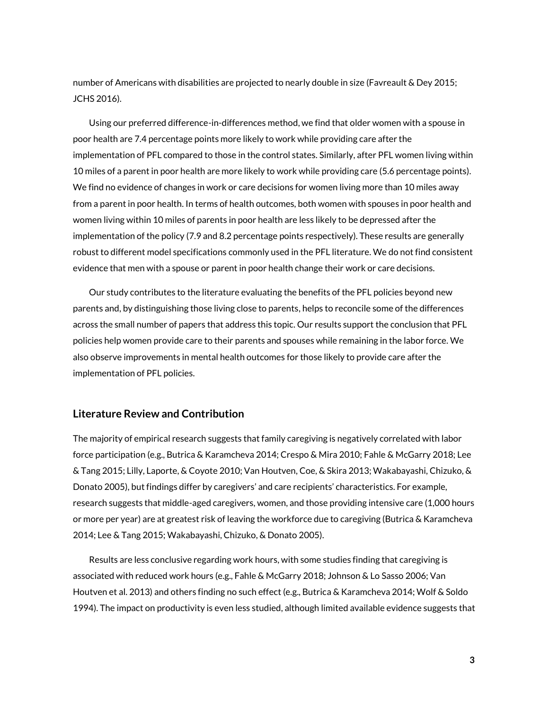number of Americans with disabilities are projected to nearly double in size (Favreault & Dey 2015; JCHS 2016).

Using our preferred difference-in-differences method, we find that older women with a spouse in poor health are 7.4 percentage points more likely to work while providing care after the implementation of PFL compared to those in the control states. Similarly, after PFL women living within 10 miles of a parent in poor health are more likely to work while providing care (5.6 percentage points). We find no evidence of changes in work or care decisions for women living more than 10 miles away from a parent in poor health. In terms of health outcomes, both women with spouses in poor health and women living within 10 miles of parents in poor health are less likely to be depressed after the implementation of the policy (7.9 and 8.2 percentage points respectively). These results are generally robust to different model specifications commonly used in the PFL literature. We do not find consistent evidence that men with a spouse or parent in poor health change their work or care decisions.

Our study contributes to the literature evaluating the benefits of the PFL policies beyond new parents and, by distinguishing those living close to parents, helps to reconcile some of the differences across the small number of papers that address this topic. Our results support the conclusion that PFL policies help women provide care to their parents and spouses while remaining in the labor force. We also observe improvements in mental health outcomes for those likely to provide care after the implementation of PFL policies.

# **Literature Review and Contribution**

The majority of empirical research suggests that family caregiving is negatively correlated with labor force participation (e.g., Butrica & Karamcheva 2014; Crespo & Mira 2010; Fahle & McGarry 2018; Lee & Tang 2015; Lilly, Laporte, & Coyote 2010; Van Houtven, Coe, & Skira 2013; Wakabayashi, Chizuko, & Donato 2005), but findings differ by caregivers' and care recipients' characteristics. For example, research suggests that middle-aged caregivers, women, and those providing intensive care (1,000 hours or more per year) are at greatest risk of leaving the workforce due to caregiving (Butrica & Karamcheva 2014; Lee & Tang 2015; Wakabayashi, Chizuko, & Donato 2005).

Results are less conclusive regarding work hours, with some studies finding that caregiving is associated with reduced work hours (e.g., Fahle & McGarry 2018; Johnson & Lo Sasso 2006; Van Houtven et al. 2013) and others finding no such effect (e.g., Butrica & Karamcheva 2014; Wolf & Soldo 1994). The impact on productivity is even less studied, although limited available evidence suggests that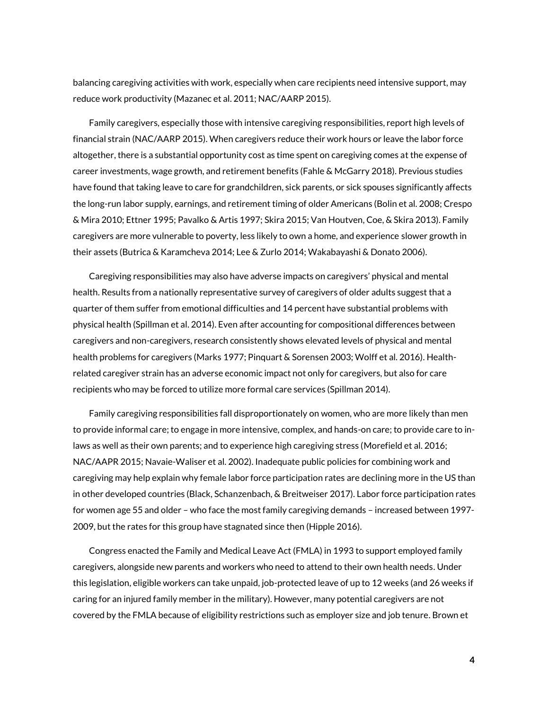balancing caregiving activities with work, especially when care recipients need intensive support, may reduce work productivity (Mazanec et al. 2011; NAC/AARP 2015).

Family caregivers, especially those with intensive caregiving responsibilities, report high levels of financial strain (NAC/AARP 2015). When caregivers reduce their work hours or leave the labor force altogether, there is a substantial opportunity cost as time spent on caregiving comes at the expense of career investments, wage growth, and retirement benefits (Fahle & McGarry 2018). Previous studies have found that taking leave to care for grandchildren, sick parents, or sick spouses significantly affects the long-run labor supply, earnings, and retirement timing of older Americans (Bolin et al. 2008; Crespo & Mira 2010; Ettner 1995; Pavalko & Artis 1997; Skira 2015; Van Houtven, Coe, & Skira 2013). Family caregivers are more vulnerable to poverty, less likely to own a home, and experience slower growth in their assets (Butrica & Karamcheva 2014; Lee & Zurlo 2014; Wakabayashi & Donato 2006).

Caregiving responsibilities may also have adverse impacts on caregivers' physical and mental health. Results from a nationally representative survey of caregivers of older adults suggest that a quarter of them suffer from emotional difficulties and 14 percent have substantial problems with physical health (Spillman et al. 2014). Even after accounting for compositional differences between caregivers and non-caregivers, research consistently shows elevated levels of physical and mental health problems for caregivers (Marks 1977; Pinquart & Sorensen 2003; Wolff et al. 2016). Healthrelated caregiver strain has an adverse economic impact not only for caregivers, but also for care recipients who may be forced to utilize more formal care services (Spillman 2014).

Family caregiving responsibilities fall disproportionately on women, who are more likely than men to provide informal care; to engage in more intensive, complex, and hands-on care; to provide care to inlaws as well as their own parents; and to experience high caregiving stress (Morefield et al. 2016; NAC/AAPR 2015; Navaie-Waliser et al. 2002). Inadequate public policies for combining work and caregiving may help explain why female labor force participation rates are declining more in the US than in other developed countries (Black, Schanzenbach, & Breitweiser 2017). Labor force participation rates for women age 55 and older – who face the most family caregiving demands – increased between 1997- 2009, but the rates for this group have stagnated since then (Hipple 2016).

Congress enacted the Family and Medical Leave Act (FMLA) in 1993 to support employed family caregivers, alongside new parents and workers who need to attend to their own health needs. Under this legislation, eligible workers can take unpaid, job-protected leave of up to 12 weeks (and 26 weeks if caring for an injured family member in the military). However, many potential caregivers are not covered by the FMLA because of eligibility restrictions such as employer size and job tenure. Brown et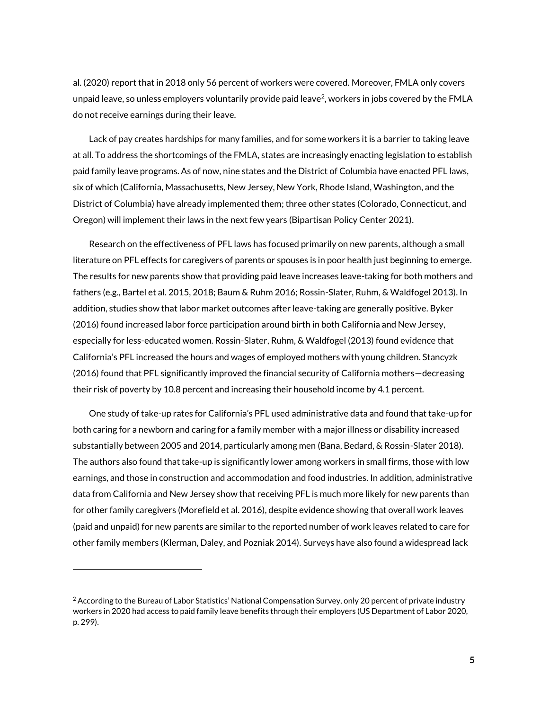al. (2020) report that in 2018 only 56 percent of workers were covered. Moreover, FMLA only covers unpaid leave, so unless employers voluntarily provide paid leave<sup>2</sup>, workers in jobs covered by the FMLA do not receive earnings during their leave.

Lack of pay creates hardships for many families, and for some workers it is a barrier to taking leave at all. To address the shortcomings of the FMLA, states are increasingly enacting legislation to establish paid family leave programs. As of now, nine states and the District of Columbia have enacted PFL laws, six of which (California, Massachusetts, New Jersey, New York, Rhode Island, Washington, and the District of Columbia) have already implemented them; three other states (Colorado, Connecticut, and Oregon) will implement their laws in the next few years (Bipartisan Policy Center 2021).

Research on the effectiveness of PFL laws has focused primarily on new parents, although a small literature on PFL effects for caregivers of parents or spouses is in poor health just beginning to emerge. The results for new parents show that providing paid leave increases leave-taking for both mothers and fathers (e.g., Bartel et al. 2015, 2018; Baum & Ruhm 2016; Rossin-Slater, Ruhm, & Waldfogel 2013). In addition, studies show that labor market outcomes after leave-taking are generally positive. Byker (2016) found increased labor force participation around birth in both California and New Jersey, especially for less-educated women. Rossin-Slater, Ruhm, & Waldfogel (2013) found evidence that California's PFL increased the hours and wages of employed mothers with young children. Stancyzk (2016) found that PFL significantly improved the financial security of California mothers—decreasing their risk of poverty by 10.8 percent and increasing their household income by 4.1 percent.

One study of take-up rates for California's PFL used administrative data and found that take-up for both caring for a newborn and caring for a family member with a major illness or disability increased substantially between 2005 and 2014, particularly among men (Bana, Bedard, & Rossin-Slater 2018). The authors also found that take-up is significantly lower among workers in small firms, those with low earnings, and those in construction and accommodation and food industries. In addition, administrative data from California and New Jersey show that receiving PFL is much more likely for new parents than for other family caregivers (Morefield et al. 2016), despite evidence showing that overall work leaves (paid and unpaid) for new parents are similar to the reported number of work leaves related to care for other family members (Klerman, Daley, and Pozniak 2014). Surveys have also found a widespread lack

 $\overline{a}$ 

 $^2$  According to the Bureau of Labor Statistics' National Compensation Survey, only 20 percent of private industry workers in 2020 had access to paid family leave benefits through their employers (US Department of Labor 2020, p. 299).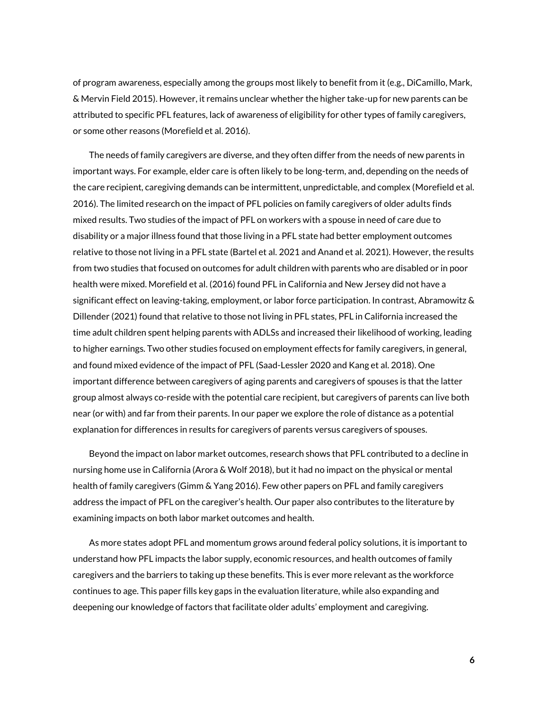of program awareness, especially among the groups most likely to benefit from it (e.g., DiCamillo, Mark, & Mervin Field 2015). However, it remains unclear whether the higher take-up for new parents can be attributed to specific PFL features, lack of awareness of eligibility for other types of family caregivers, or some other reasons (Morefield et al. 2016).

The needs of family caregivers are diverse, and they often differ from the needs of new parents in important ways. For example, elder care is often likely to be long-term, and, depending on the needs of the care recipient, caregiving demands can be intermittent, unpredictable, and complex (Morefield et al. 2016). The limited research on the impact of PFL policies on family caregivers of older adults finds mixed results. Two studies of the impact of PFL on workers with a spouse in need of care due to disability or a major illness found that those living in a PFL state had better employment outcomes relative to those not living in a PFL state (Bartel et al. 2021 and Anand et al. 2021). However, the results from two studies that focused on outcomes for adult children with parents who are disabled or in poor health were mixed. Morefield et al. (2016) found PFL in California and New Jersey did not have a significant effect on leaving-taking, employment, or labor force participation. In contrast, Abramowitz & Dillender (2021) found that relative to those not living in PFL states, PFL in California increased the time adult children spent helping parents with ADLSs and increased their likelihood of working, leading to higher earnings. Two other studies focused on employment effects for family caregivers, in general, and found mixed evidence of the impact of PFL (Saad-Lessler 2020 and Kang et al. 2018). One important difference between caregivers of aging parents and caregivers of spouses is that the latter group almost always co-reside with the potential care recipient, but caregivers of parents can live both near (or with) and far from their parents. In our paper we explore the role of distance as a potential explanation for differences in results for caregivers of parents versus caregivers of spouses.

Beyond the impact on labor market outcomes, research shows that PFL contributed to a decline in nursing home use in California (Arora & Wolf 2018), but it had no impact on the physical or mental health of family caregivers (Gimm & Yang 2016). Few other papers on PFL and family caregivers address the impact of PFL on the caregiver's health. Our paper also contributes to the literature by examining impacts on both labor market outcomes and health.

As more states adopt PFL and momentum grows around federal policy solutions, it is important to understand how PFL impacts the labor supply, economic resources, and health outcomes of family caregivers and the barriers to taking up these benefits. This is ever more relevant as the workforce continues to age. This paper fills key gaps in the evaluation literature, while also expanding and deepening our knowledge of factors that facilitate older adults' employment and caregiving.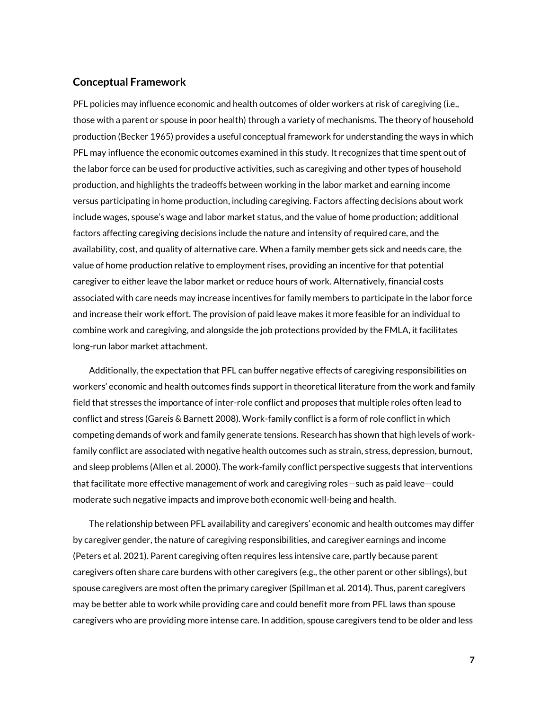## **Conceptual Framework**

PFL policies may influence economic and health outcomes of older workers at risk of caregiving (i.e., those with a parent or spouse in poor health) through a variety of mechanisms. The theory of household production (Becker 1965) provides a useful conceptual framework for understanding the ways in which PFL may influence the economic outcomes examined in this study. It recognizes that time spent out of the labor force can be used for productive activities, such as caregiving and other types of household production, and highlights the tradeoffs between working in the labor market and earning income versus participating in home production, including caregiving. Factors affecting decisions about work include wages, spouse's wage and labor market status, and the value of home production; additional factors affecting caregiving decisions include the nature and intensity of required care, and the availability, cost, and quality of alternative care. When a family member gets sick and needs care, the value of home production relative to employment rises, providing an incentive for that potential caregiver to either leave the labor market or reduce hours of work. Alternatively, financial costs associated with care needs may increase incentives for family members to participate in the labor force and increase their work effort. The provision of paid leave makes it more feasible for an individual to combine work and caregiving, and alongside the job protections provided by the FMLA, it facilitates long-run labor market attachment.

Additionally, the expectation that PFL can buffer negative effects of caregiving responsibilities on workers' economic and health outcomes finds support in theoretical literature from the work and family field that stresses the importance of inter-role conflict and proposes that multiple roles often lead to conflict and stress (Gareis & Barnett 2008). Work-family conflict is a form of role conflict in which competing demands of work and family generate tensions. Research has shown that high levels of workfamily conflict are associated with negative health outcomes such as strain, stress, depression, burnout, and sleep problems (Allen et al. 2000). The work-family conflict perspective suggests that interventions that facilitate more effective management of work and caregiving roles—such as paid leave—could moderate such negative impacts and improve both economic well-being and health.

The relationship between PFL availability and caregivers' economic and health outcomes may differ by caregiver gender, the nature of caregiving responsibilities, and caregiver earnings and income (Peters et al. 2021). Parent caregiving often requires less intensive care, partly because parent caregivers often share care burdens with other caregivers (e.g., the other parent or other siblings), but spouse caregivers are most often the primary caregiver (Spillman et al. 2014). Thus, parent caregivers may be better able to work while providing care and could benefit more from PFL laws than spouse caregivers who are providing more intense care. In addition, spouse caregivers tend to be older and less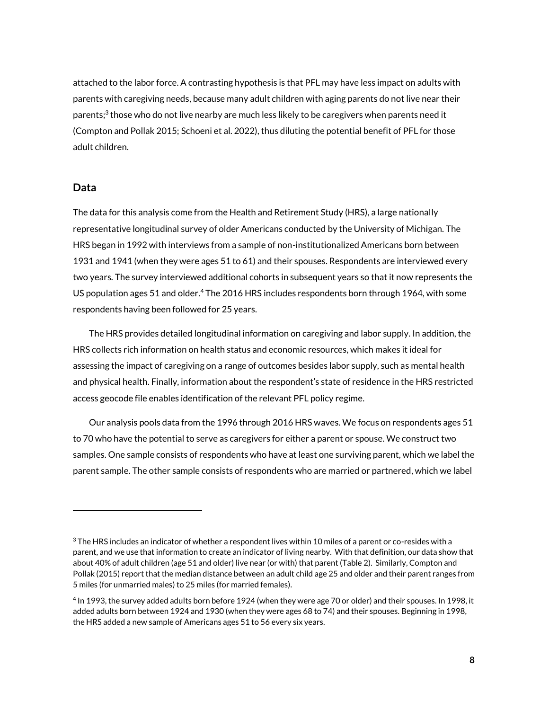attached to the labor force. A contrasting hypothesis is that PFL may have less impact on adults with parents with caregiving needs, because many adult children with aging parents do not live near their parents; $^3$  those who do not live nearby are much less likely to be caregivers when parents need it (Compton and Pollak 2015; Schoeni et al. 2022), thus diluting the potential benefit of PFL for those adult children.

## **Data**

 $\overline{a}$ 

The data for this analysis come from the Health and Retirement Study (HRS), a large nationally representative longitudinal survey of older Americans conducted by the University of Michigan. The HRS began in 1992 with interviews from a sample of non-institutionalized Americans born between 1931 and 1941 (when they were ages 51 to 61) and their spouses. Respondents are interviewed every two years. The survey interviewed additional cohorts in subsequent years so that it now represents the US population ages 51 and older.<sup>4</sup> The 2016 HRS includes respondents born through 1964, with some respondents having been followed for 25 years.

The HRS provides detailed longitudinal information on caregiving and labor supply. In addition, the HRS collects rich information on health status and economic resources, which makes it ideal for assessing the impact of caregiving on a range of outcomes besides labor supply, such as mental health and physical health. Finally, information about the respondent's state of residence in the HRS restricted access geocode file enables identification of the relevant PFL policy regime.

Our analysis pools data from the 1996 through 2016 HRS waves. We focus on respondents ages 51 to 70 who have the potential to serve as caregivers for either a parent or spouse. We construct two samples. One sample consists of respondents who have at least one surviving parent, which we label the parent sample. The other sample consists of respondents who are married or partnered, which we label

 $3$  The HRS includes an indicator of whether a respondent lives within 10 miles of a parent or co-resides with a parent, and we use that information to create an indicator of living nearby. With that definition, our data show that about 40% of adult children (age 51 and older) live near (or with) that parent (Table 2). Similarly, Compton and Pollak (2015) report that the median distance between an adult child age 25 and older and their parent ranges from 5 miles (for unmarried males) to 25 miles (for married females).

<sup>4</sup> In 1993, the survey added adults born before 1924 (when they were age 70 or older) and their spouses. In 1998, it added adults born between 1924 and 1930 (when they were ages 68 to 74) and their spouses. Beginning in 1998, the HRS added a new sample of Americans ages 51 to 56 every six years.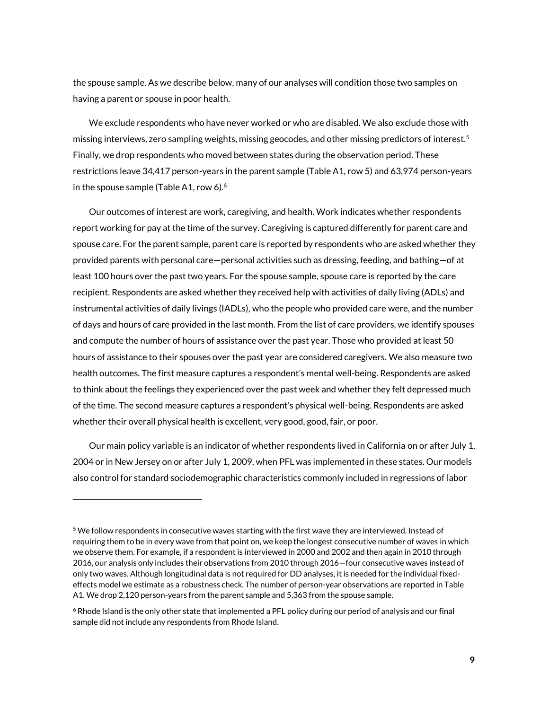the spouse sample. As we describe below, many of our analyses will condition those two samples on having a parent or spouse in poor health.

We exclude respondents who have never worked or who are disabled. We also exclude those with missing interviews, zero sampling weights, missing geocodes, and other missing predictors of interest.<sup>5</sup> Finally, we drop respondents who moved between states during the observation period. These restrictions leave 34,417 person-years in the parent sample (Table A1, row 5) and 63,974 person-years in the spouse sample (Table A1, row 6). $6$ 

Our outcomes of interest are work, caregiving, and health. Work indicates whether respondents report working for pay at the time of the survey. Caregiving is captured differently for parent care and spouse care. For the parent sample, parent care is reported by respondents who are asked whether they provided parents with personal care—personal activities such as dressing, feeding, and bathing—of at least 100 hours over the past two years. For the spouse sample, spouse care is reported by the care recipient. Respondents are asked whether they received help with activities of daily living (ADLs) and instrumental activities of daily livings (IADLs), who the people who provided care were, and the number of days and hours of care provided in the last month. From the list of care providers, we identify spouses and compute the number of hours of assistance over the past year. Those who provided at least 50 hours of assistance to their spouses over the past year are considered caregivers. We also measure two health outcomes. The first measure captures a respondent's mental well-being. Respondents are asked to think about the feelings they experienced over the past week and whether they felt depressed much of the time. The second measure captures a respondent's physical well-being. Respondents are asked whether their overall physical health is excellent, very good, good, fair, or poor.

Our main policy variable is an indicator of whether respondents lived in California on or after July 1, 2004 or in New Jersey on or after July 1, 2009, when PFL was implemented in these states. Our models also control for standard sociodemographic characteristics commonly included in regressions of labor

 $\overline{a}$ 

<sup>5</sup> We follow respondents in consecutive waves starting with the first wave they are interviewed. Instead of requiring them to be in every wave from that point on, we keep the longest consecutive number of waves in which we observe them. For example, if a respondent is interviewed in 2000 and 2002 and then again in 2010 through 2016, our analysis only includes their observations from 2010 through 2016—four consecutive waves instead of only two waves. Although longitudinal data is not required for DD analyses, it is needed for the individual fixedeffects model we estimate as a robustness check. The number of person-year observations are reported in Table A1. We drop 2,120 person-years from the parent sample and 5,363 from the spouse sample.

<sup>6</sup> Rhode Island is the only other state that implemented a PFL policy during our period of analysis and our final sample did not include any respondents from Rhode Island.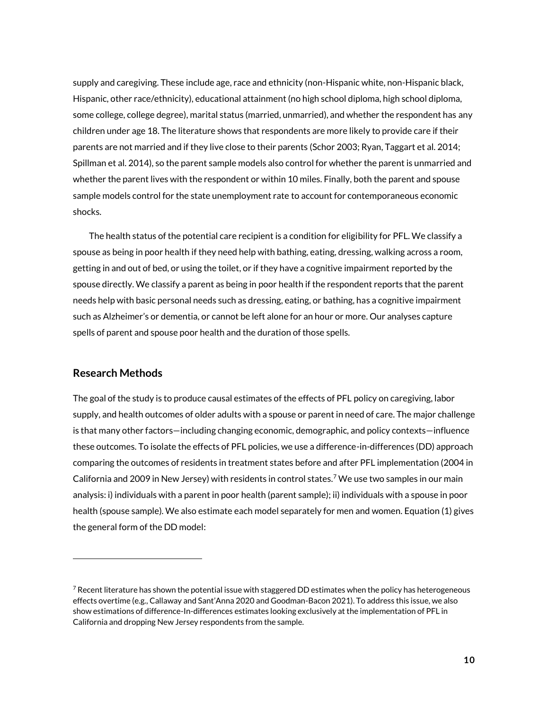supply and caregiving. These include age, race and ethnicity (non-Hispanic white, non-Hispanic black, Hispanic, other race/ethnicity), educational attainment (no high school diploma, high school diploma, some college, college degree), marital status (married, unmarried), and whether the respondent has any children under age 18. The literature shows that respondents are more likely to provide care if their parents are not married and if they live close to their parents (Schor 2003; Ryan, Taggart et al. 2014; Spillman et al. 2014), so the parent sample models also control for whether the parent is unmarried and whether the parent lives with the respondent or within 10 miles. Finally, both the parent and spouse sample models control for the state unemployment rate to account for contemporaneous economic shocks.

The health status of the potential care recipient is a condition for eligibility for PFL. We classify a spouse as being in poor health if they need help with bathing, eating, dressing, walking across a room, getting in and out of bed, or using the toilet, or if they have a cognitive impairment reported by the spouse directly. We classify a parent as being in poor health if the respondent reports that the parent needs help with basic personal needs such as dressing, eating, or bathing, has a cognitive impairment such as Alzheimer's or dementia, or cannot be left alone for an hour or more. Our analyses capture spells of parent and spouse poor health and the duration of those spells.

## **Research Methods**

 $\overline{a}$ 

The goal of the study is to produce causal estimates of the effects of PFL policy on caregiving, labor supply, and health outcomes of older adults with a spouse or parent in need of care. The major challenge is that many other factors—including changing economic, demographic, and policy contexts—influence these outcomes. To isolate the effects of PFL policies, we use a difference-in-differences (DD) approach comparing the outcomes of residents in treatment states before and after PFL implementation (2004 in California and 2009 in New Jersey) with residents in control states.<sup>7</sup> We use two samples in our main analysis: i) individuals with a parent in poor health (parent sample); ii) individuals with a spouse in poor health (spouse sample). We also estimate each model separately for men and women. Equation (1) gives the general form of the DD model:

 $7$  Recent literature has shown the potential issue with staggered DD estimates when the policy has heterogeneous effects overtime (e.g., Callaway and Sant'Anna 2020 and Goodman-Bacon 2021). To address this issue, we also show estimations of difference-In-differences estimates looking exclusively at the implementation of PFL in California and dropping New Jersey respondents from the sample.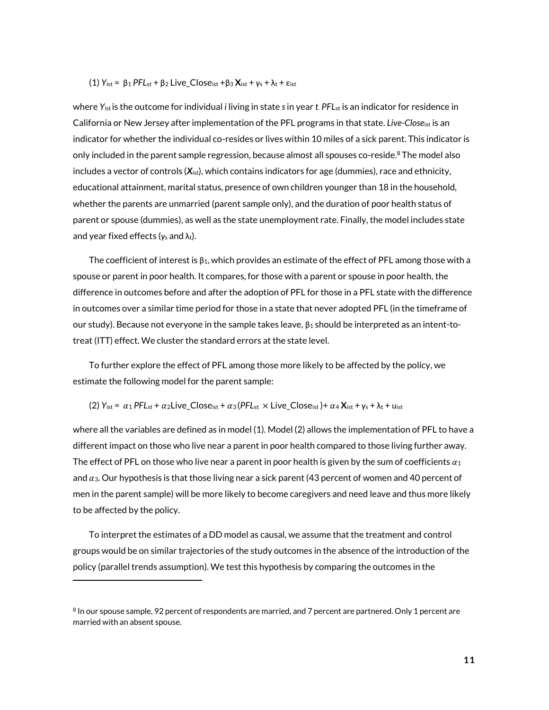#### (1) *Y*ist = β<sup>1</sup> *PFL*st + β<sup>2</sup> Live\_Closeist +β<sup>3</sup> **X**ist + γ<sup>s</sup> + λ<sup>t</sup> + εist

where *Y*istis the outcome for individual *i* living in state *s*in year *t*. *PFL*st is an indicator for residence in California or New Jersey after implementation of the PFL programs in that state. *Live-Close*ist is an indicator for whether the individual co-resides or lives within 10 miles of a sick parent. This indicator is only included in the parent sample regression, because almost all spouses co-reside. ${}^{8}$  The model also includes a vector of controls (*X*ist), which contains indicators for age (dummies), race and ethnicity, educational attainment, marital status, presence of own children younger than 18 in the household, whether the parents are unmarried (parent sample only), and the duration of poor health status of parent or spouse (dummies), as well as the state unemployment rate. Finally, the model includes state and year fixed effects ( $\gamma_s$  and  $\lambda_t$ ).

The coefficient of interest is  $\beta_1$ , which provides an estimate of the effect of PFL among those with a spouse or parent in poor health. It compares, for those with a parent or spouse in poor health, the difference in outcomes before and after the adoption of PFL for those in a PFL state with the difference in outcomes over a similar time period for those in a state that never adopted PFL (in the timeframe of our study). Because not everyone in the sample takes leave,  $\beta_1$  should be interpreted as an intent-totreat (ITT) effect. We cluster the standard errors at the state level.

To further explore the effect of PFL among those more likely to be affected by the policy, we estimate the following model for the parent sample:

#### (2)  $Y_{\text{ist}} = \alpha_1 PFL_{\text{st}} + \alpha_2 \text{Live Close}_{\text{ist}} + \alpha_3 (PFL_{\text{st}} \times \text{Live Close}_{\text{ist}}) + \alpha_4 X_{\text{ist}} + \gamma_s + \lambda_t + \mu_{\text{ist}}$

where all the variables are defined as in model (1). Model (2) allows the implementation of PFL to have a different impact on those who live near a parent in poor health compared to those living further away. The effect of PFL on those who live near a parent in poor health is given by the sum of coefficients  $\alpha_1$ and  $\alpha_3$ . Our hypothesis is that those living near a sick parent (43 percent of women and 40 percent of men in the parent sample) will be more likely to become caregivers and need leave and thus more likely to be affected by the policy.

To interpret the estimates of a DD model as causal, we assume that the treatment and control groups would be on similar trajectories of the study outcomes in the absence of the introduction of the policy (parallel trends assumption). We test this hypothesis by comparing the outcomes in the

 $\overline{a}$ 

 $^8$  In our spouse sample, 92 percent of respondents are married, and 7 percent are partnered. Only 1 percent are married with an absent spouse.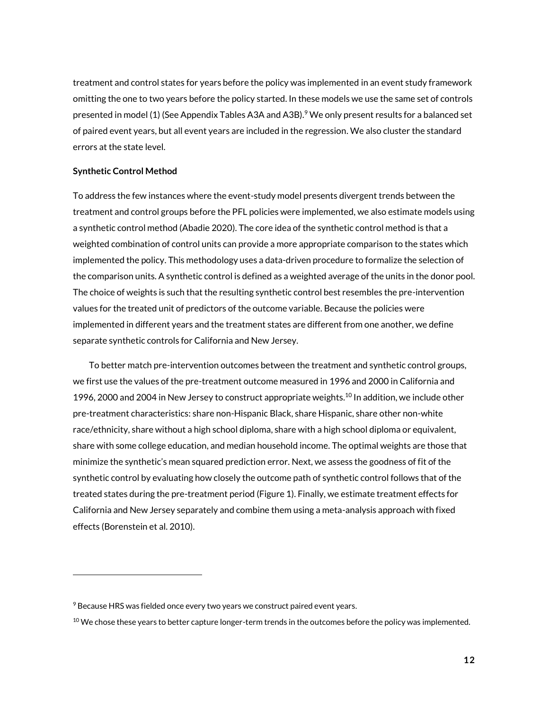treatment and control states for years before the policy was implemented in an event study framework omitting the one to two years before the policy started. In these models we use the same set of controls presented in model (1) (See Appendix Tables A3A and A3B).<sup>9</sup> We only present results for a balanced set of paired event years, but all event years are included in the regression. We also cluster the standard errors at the state level.

#### **Synthetic Control Method**

 $\overline{a}$ 

To address the few instances where the event-study model presents divergent trends between the treatment and control groups before the PFL policies were implemented, we also estimate models using a synthetic control method (Abadie 2020). The core idea of the synthetic control method is that a weighted combination of control units can provide a more appropriate comparison to the states which implemented the policy. This methodology uses a data-driven procedure to formalize the selection of the comparison units. A synthetic control is defined as a weighted average of the units in the donor pool. The choice of weights is such that the resulting synthetic control best resembles the pre-intervention values for the treated unit of predictors of the outcome variable. Because the policies were implemented in different years and the treatment states are different from one another, we define separate synthetic controls for California and New Jersey.

To better match pre-intervention outcomes between the treatment and synthetic control groups, we first use the values of the pre-treatment outcome measured in 1996 and 2000 in California and 1996, 2000 and 2004 in New Jersey to construct appropriate weights.<sup>10</sup> In addition, we include other pre-treatment characteristics: share non-Hispanic Black, share Hispanic, share other non-white race/ethnicity, share without a high school diploma, share with a high school diploma or equivalent, share with some college education, and median household income. The optimal weights are those that minimize the synthetic's mean squared prediction error. Next, we assess the goodness of fit of the synthetic control by evaluating how closely the outcome path of synthetic control follows that of the treated states during the pre-treatment period (Figure 1). Finally, we estimate treatment effects for California and New Jersey separately and combine them using a meta-analysis approach with fixed effects (Borenstein et al. 2010).

<sup>&</sup>lt;sup>9</sup> Because HRS was fielded once every two years we construct paired event years.

 $10$  We chose these years to better capture longer-term trends in the outcomes before the policy was implemented.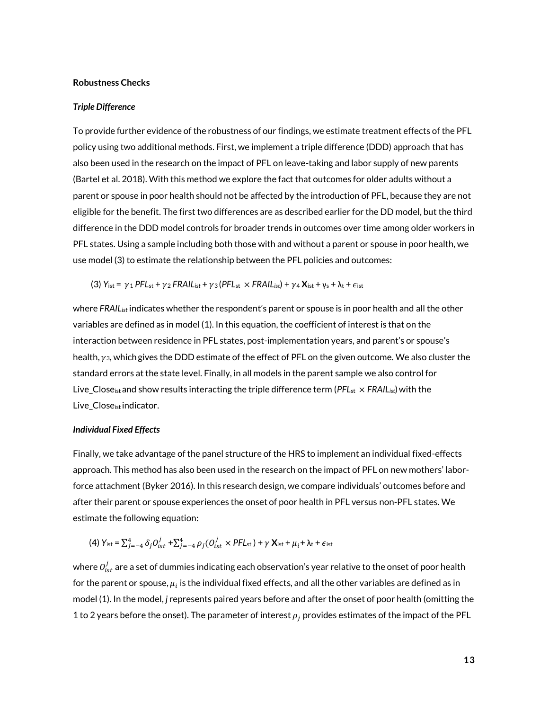#### **Robustness Checks**

#### *Triple Difference*

To provide further evidence of the robustness of our findings, we estimate treatment effects of the PFL policy using two additional methods. First, we implement a triple difference (DDD) approach that has also been used in the research on the impact of PFL on leave-taking and labor supply of new parents (Bartel et al. 2018). With this method we explore the fact that outcomes for older adults without a parent or spouse in poor health should not be affected by the introduction of PFL, because they are not eligible for the benefit. The first two differences are as described earlier for the DD model, but the third difference in the DDD model controls for broader trends in outcomes over time among older workers in PFL states. Using a sample including both those with and without a parent or spouse in poor health, we use model (3) to estimate the relationship between the PFL policies and outcomes:

(3)  $Y_{\text{ist}} = \gamma_1 PFL_{\text{st}} + \gamma_2 FRAIL_{\text{ist}} + \gamma_3 (PFL_{\text{st}} \times FRAIL_{\text{ist}}) + \gamma_4 X_{\text{ist}} + \gamma_5 + \lambda_t + \epsilon_{\text{ist}}$ 

where *FRAIList* indicates whether the respondent's parent or spouse is in poor health and all the other variables are defined as in model (1). In this equation, the coefficient of interest is that on the interaction between residence in PFL states, post-implementation years, and parent's or spouse's health,  $y_3$ , which gives the DDD estimate of the effect of PFL on the given outcome. We also cluster the standard errors at the state level. Finally, in all models in the parent sample we also control for Live\_Closeistand show results interacting the triple difference term (*PFL*st × *FRAIList*)with the Live\_Close<sub>ist</sub> indicator.

#### *Individual Fixed Effects*

Finally, we take advantage of the panel structure of the HRS to implement an individual fixed-effects approach. This method has also been used in the research on the impact of PFL on new mothers' laborforce attachment (Byker 2016). In this research design, we compare individuals' outcomes before and after their parent or spouse experiences the onset of poor health in PFL versus non-PFL states. We estimate the following equation:

(4) 
$$
Y_{\text{ist}} = \sum_{j=-4}^{4} \delta_j O_{ist}^j + \sum_{j=-4}^{4} \rho_j (O_{ist}^j \times PFL_{st}) + \gamma X_{\text{ist}} + \mu_i + \lambda_t + \epsilon_{\text{ist}}
$$

where  $O_{ist}^j$  are a set of dummies indicating each observation's year relative to the onset of poor health for the parent or spouse,  $\mu_i$  is the individual fixed effects, and all the other variables are defined as in model (1). In the model, *j* represents paired years before and after the onset of poor health (omitting the 1 to 2 years before the onset). The parameter of interest  $\rho_i$  provides estimates of the impact of the PFL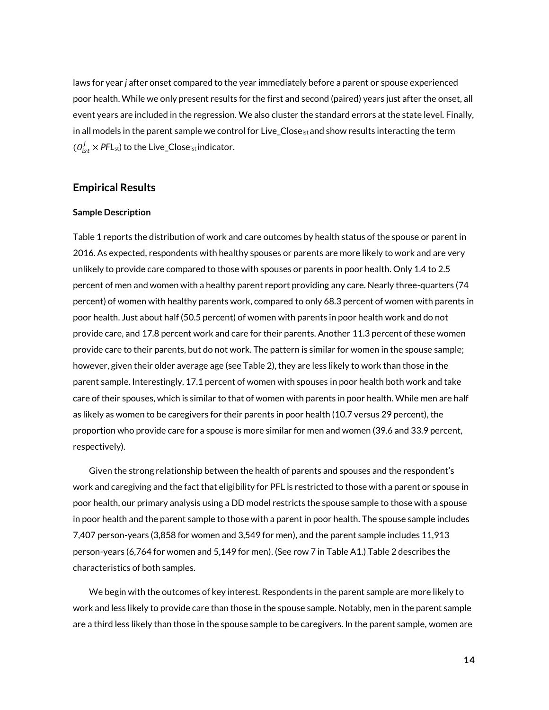laws for year *j* after onset compared to the year immediately before a parent or spouse experienced poor health. While we only present results for the first and second (paired) years just after the onset, all event years are included in the regression. We also cluster the standard errors at the state level. Finally, in all models in the parent sample we control for Live\_Close<sub>ist</sub> and show results interacting the term  $(\mathit{O}_{\mathrm{ist}}^{j} \times \mathsf{PFL}_{\mathrm{st}})$  to the Live\_Close<sub>ist</sub> indicator.

## **Empirical Results**

#### **Sample Description**

Table 1 reports the distribution of work and care outcomes by health status of the spouse or parent in 2016. As expected, respondents with healthy spouses or parents are more likely to work and are very unlikely to provide care compared to those with spouses or parents in poor health. Only 1.4 to 2.5 percent of men and women with a healthy parent report providing any care. Nearly three-quarters (74 percent) of women with healthy parents work, compared to only 68.3 percent of women with parents in poor health. Just about half (50.5 percent) of women with parents in poor health work and do not provide care, and 17.8 percent work and care for their parents. Another 11.3 percent of these women provide care to their parents, but do not work. The pattern is similar for women in the spouse sample; however, given their older average age (see Table 2), they are less likely to work than those in the parent sample. Interestingly, 17.1 percent of women with spouses in poor health both work and take care of their spouses, which is similar to that of women with parents in poor health. While men are half as likely as women to be caregivers for their parents in poor health (10.7 versus 29 percent), the proportion who provide care for a spouse is more similar for men and women (39.6 and 33.9 percent, respectively).

Given the strong relationship between the health of parents and spouses and the respondent's work and caregiving and the fact that eligibility for PFL is restricted to those with a parent or spouse in poor health, our primary analysis using a DD model restricts the spouse sample to those with a spouse in poor health and the parent sample to those with a parent in poor health. The spouse sample includes 7,407 person-years (3,858 for women and 3,549 for men), and the parent sample includes 11,913 person-years (6,764 for women and 5,149 for men). (See row 7 in Table A1.) Table 2 describes the characteristics of both samples.

We begin with the outcomes of key interest. Respondents in the parent sample are more likely to work and less likely to provide care than those in the spouse sample. Notably, men in the parent sample are a third less likely than those in the spouse sample to be caregivers. In the parent sample, women are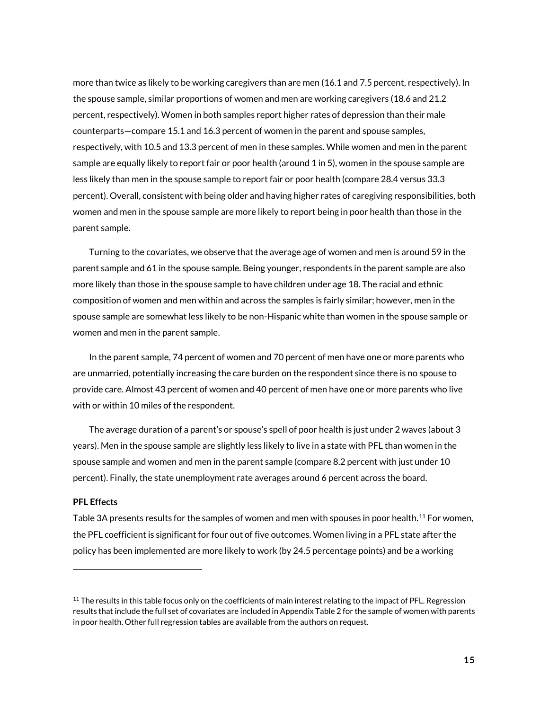more than twice as likely to be working caregivers than are men (16.1 and 7.5 percent, respectively). In the spouse sample, similar proportions of women and men are working caregivers (18.6 and 21.2 percent, respectively). Women in both samples report higher rates of depression than their male counterparts—compare 15.1 and 16.3 percent of women in the parent and spouse samples, respectively, with 10.5 and 13.3 percent of men in these samples. While women and men in the parent sample are equally likely to report fair or poor health (around 1 in 5), women in the spouse sample are less likely than men in the spouse sample to report fair or poor health (compare 28.4 versus 33.3 percent). Overall, consistent with being older and having higher rates of caregiving responsibilities, both women and men in the spouse sample are more likely to report being in poor health than those in the parent sample.

Turning to the covariates, we observe that the average age of women and men is around 59 in the parent sample and 61 in the spouse sample. Being younger, respondents in the parent sample are also more likely than those in the spouse sample to have children under age 18. The racial and ethnic composition of women and men within and across the samples is fairly similar; however, men in the spouse sample are somewhat less likely to be non-Hispanic white than women in the spouse sample or women and men in the parent sample.

In the parent sample, 74 percent of women and 70 percent of men have one or more parents who are unmarried, potentially increasing the care burden on the respondent since there is no spouse to provide care. Almost 43 percent of women and 40 percent of men have one or more parents who live with or within 10 miles of the respondent.

The average duration of a parent's or spouse's spell of poor health is just under 2 waves (about 3 years). Men in the spouse sample are slightly less likely to live in a state with PFL than women in the spouse sample and women and men in the parent sample (compare 8.2 percent with just under 10 percent). Finally, the state unemployment rate averages around 6 percent across the board.

## **PFL Effects**

 $\overline{a}$ 

Table 3A presents results for the samples of women and men with spouses in poor health.<sup>11</sup> For women, the PFL coefficient is significant for four out of five outcomes. Women living in a PFL state after the policy has been implemented are more likely to work (by 24.5 percentage points) and be a working

 $11$  The results in this table focus only on the coefficients of main interest relating to the impact of PFL. Regression results that include the full set of covariates are included in Appendix Table 2 for the sample of women with parents in poor health. Other full regression tables are available from the authors on request.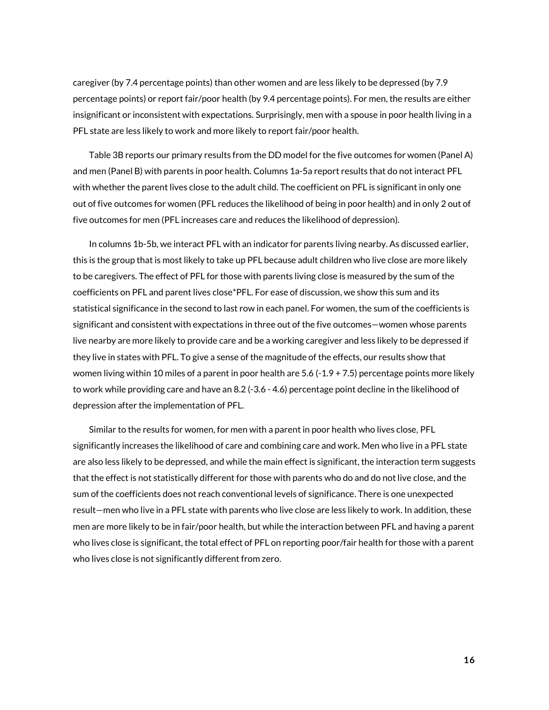caregiver (by 7.4 percentage points) than other women and are less likely to be depressed (by 7.9 percentage points) or report fair/poor health (by 9.4 percentage points). For men, the results are either insignificant or inconsistent with expectations. Surprisingly, men with a spouse in poor health living in a PFL state are less likely to work and more likely to report fair/poor health.

Table 3B reports our primary results from the DD model for the five outcomes for women (Panel A) and men (Panel B) with parents in poor health. Columns 1a-5a report results that do not interact PFL with whether the parent lives close to the adult child. The coefficient on PFL is significant in only one out of five outcomes for women (PFL reduces the likelihood of being in poor health) and in only 2 out of five outcomes for men (PFL increases care and reduces the likelihood of depression).

In columns 1b-5b, we interact PFL with an indicator for parents living nearby. As discussed earlier, this is the group that is most likely to take up PFL because adult children who live close are more likely to be caregivers. The effect of PFL for those with parents living close is measured by the sum of the coefficients on PFL and parent lives close\*PFL. For ease of discussion, we show this sum and its statistical significance in the second to last row in each panel. For women, the sum of the coefficients is significant and consistent with expectations in three out of the five outcomes—women whose parents live nearby are more likely to provide care and be a working caregiver and less likely to be depressed if they live in states with PFL. To give a sense of the magnitude of the effects, our results show that women living within 10 miles of a parent in poor health are 5.6 (-1.9 + 7.5) percentage points more likely to work while providing care and have an 8.2 (-3.6 - 4.6) percentage point decline in the likelihood of depression after the implementation of PFL.

Similar to the results for women, for men with a parent in poor health who lives close, PFL significantly increases the likelihood of care and combining care and work. Men who live in a PFL state are also less likely to be depressed, and while the main effect is significant, the interaction term suggests that the effect is not statistically different for those with parents who do and do not live close, and the sum of the coefficients does not reach conventional levels of significance. There is one unexpected result—men who live in a PFL state with parents who live close are less likely to work. In addition, these men are more likely to be in fair/poor health, but while the interaction between PFL and having a parent who lives close is significant, the total effect of PFL on reporting poor/fair health for those with a parent who lives close is not significantly different from zero.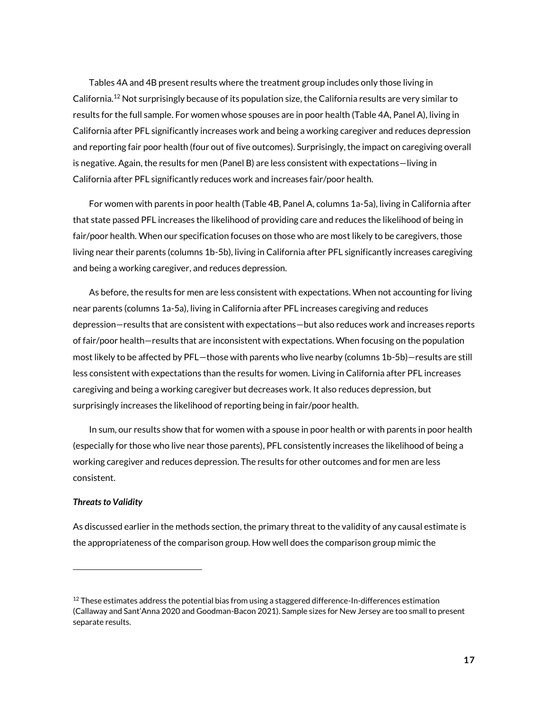Tables 4A and 4B present results where the treatment group includes only those living in California. <sup>12</sup> Not surprisingly because of its population size, the California results are very similar to results for the full sample. For women whose spouses are in poor health (Table 4A, Panel A), living in California after PFL significantly increases work and being a working caregiver and reduces depression and reporting fair poor health (four out of five outcomes). Surprisingly, the impact on caregiving overall is negative. Again, the results for men (Panel B) are less consistent with expectations—living in California after PFL significantly reduces work and increases fair/poor health.

For women with parents in poor health (Table 4B, Panel A, columns 1a-5a), living in California after that state passed PFL increases the likelihood of providing care and reduces the likelihood of being in fair/poor health. When our specification focuses on those who are most likely to be caregivers, those living near their parents (columns 1b-5b), living in California after PFL significantly increases caregiving and being a working caregiver, and reduces depression.

As before, the results for men are less consistent with expectations. When not accounting for living near parents (columns 1a-5a), living in California after PFL increases caregiving and reduces depression—results that are consistent with expectations—but also reduces work and increases reports of fair/poor health—results that are inconsistent with expectations. When focusing on the population most likely to be affected by PFL—those with parents who live nearby (columns 1b-5b)—results are still less consistent with expectations than the results for women. Living in California after PFL increases caregiving and being a working caregiver but decreases work. It also reduces depression, but surprisingly increases the likelihood of reporting being in fair/poor health.

In sum, our results show that for women with a spouse in poor health or with parents in poor health (especially for those who live near those parents), PFL consistently increases the likelihood of being a working caregiver and reduces depression. The results for other outcomes and for men are less consistent.

## *Threats to Validity*

 $\overline{a}$ 

As discussed earlier in the methods section, the primary threat to the validity of any causal estimate is the appropriateness of the comparison group. How well does the comparison group mimic the

 $12$  These estimates address the potential bias from using a staggered difference-In-differences estimation (Callaway and Sant'Anna 2020 and Goodman-Bacon 2021). Sample sizes for New Jersey are too small to present separate results.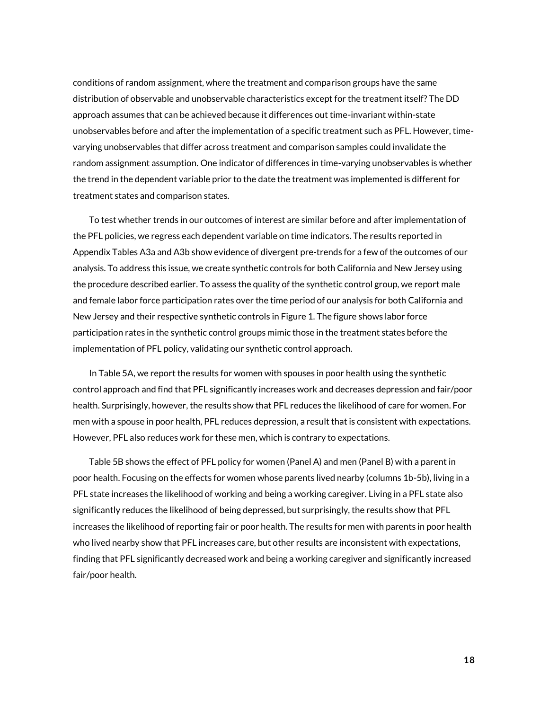conditions of random assignment, where the treatment and comparison groups have the same distribution of observable and unobservable characteristics except for the treatment itself? The DD approach assumes that can be achieved because it differences out time-invariant within-state unobservables before and after the implementation of a specific treatment such as PFL. However, timevarying unobservables that differ across treatment and comparison samples could invalidate the random assignment assumption. One indicator of differences in time-varying unobservables is whether the trend in the dependent variable prior to the date the treatment was implemented is different for treatment states and comparison states.

To test whether trends in our outcomes of interest are similar before and after implementation of the PFL policies, we regress each dependent variable on time indicators. The results reported in Appendix Tables A3a and A3b show evidence of divergent pre-trends for a few of the outcomes of our analysis. To address this issue, we create synthetic controls for both California and New Jersey using the procedure described earlier. To assess the quality of the synthetic control group, we report male and female labor force participation rates over the time period of our analysis for both California and New Jersey and their respective synthetic controls in Figure 1. The figure shows labor force participation rates in the synthetic control groups mimic those in the treatment states before the implementation of PFL policy, validating our synthetic control approach.

In Table 5A, we report the results for women with spouses in poor health using the synthetic control approach and find that PFL significantly increases work and decreases depression and fair/poor health. Surprisingly, however, the results show that PFL reduces the likelihood of care for women. For men with a spouse in poor health, PFL reduces depression, a result that is consistent with expectations. However, PFL also reduces work for these men, which is contrary to expectations.

Table 5B shows the effect of PFL policy for women (Panel A) and men (Panel B) with a parent in poor health. Focusing on the effects for women whose parents lived nearby (columns 1b-5b), living in a PFL state increases the likelihood of working and being a working caregiver. Living in a PFL state also significantly reduces the likelihood of being depressed, but surprisingly, the results show that PFL increases the likelihood of reporting fair or poor health. The results for men with parents in poor health who lived nearby show that PFL increases care, but other results are inconsistent with expectations, finding that PFL significantly decreased work and being a working caregiver and significantly increased fair/poor health.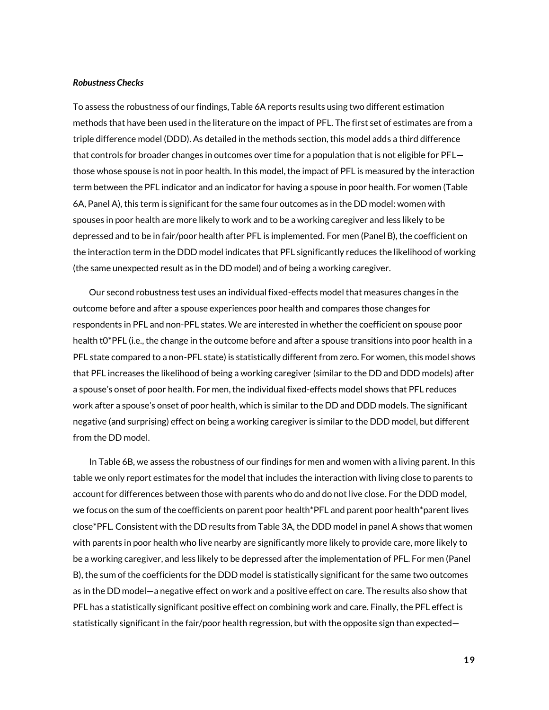#### *Robustness Checks*

To assess the robustness of our findings, Table 6A reports results using two different estimation methods that have been used in the literature on the impact of PFL. The first set of estimates are from a triple difference model (DDD). As detailed in the methods section, this model adds a third difference that controls for broader changes in outcomes over time for a population that is not eligible for PFL those whose spouse is not in poor health. In this model, the impact of PFL is measured by the interaction term between the PFL indicator and an indicator for having a spouse in poor health. For women (Table 6A, Panel A), this term is significant for the same four outcomes as in the DD model: women with spouses in poor health are more likely to work and to be a working caregiver and less likely to be depressed and to be in fair/poor health after PFL is implemented. For men (Panel B), the coefficient on the interaction term in the DDD model indicates that PFL significantly reduces the likelihood of working (the same unexpected result as in the DD model) and of being a working caregiver.

Our second robustness test uses an individual fixed-effects model that measures changes in the outcome before and after a spouse experiences poor health and compares those changes for respondents in PFL and non-PFL states. We are interested in whether the coefficient on spouse poor health t0\*PFL (i.e., the change in the outcome before and after a spouse transitions into poor health in a PFL state compared to a non-PFL state) is statistically different from zero. For women, this model shows that PFL increases the likelihood of being a working caregiver (similar to the DD and DDD models) after a spouse's onset of poor health. For men, the individual fixed-effects model shows that PFL reduces work after a spouse's onset of poor health, which is similar to the DD and DDD models. The significant negative (and surprising) effect on being a working caregiver is similar to the DDD model, but different from the DD model.

In Table 6B, we assess the robustness of our findings for men and women with a living parent. In this table we only report estimates for the model that includes the interaction with living close to parents to account for differences between those with parents who do and do not live close. For the DDD model, we focus on the sum of the coefficients on parent poor health\*PFL and parent poor health\*parent lives close\*PFL. Consistent with the DD results from Table 3A, the DDD model in panel A shows that women with parents in poor health who live nearby are significantly more likely to provide care, more likely to be a working caregiver, and less likely to be depressed after the implementation of PFL. For men (Panel B), the sum of the coefficients for the DDD model is statistically significant for the same two outcomes as in the DD model—a negative effect on work and a positive effect on care. The results also show that PFL has a statistically significant positive effect on combining work and care. Finally, the PFL effect is statistically significant in the fair/poor health regression, but with the opposite sign than expected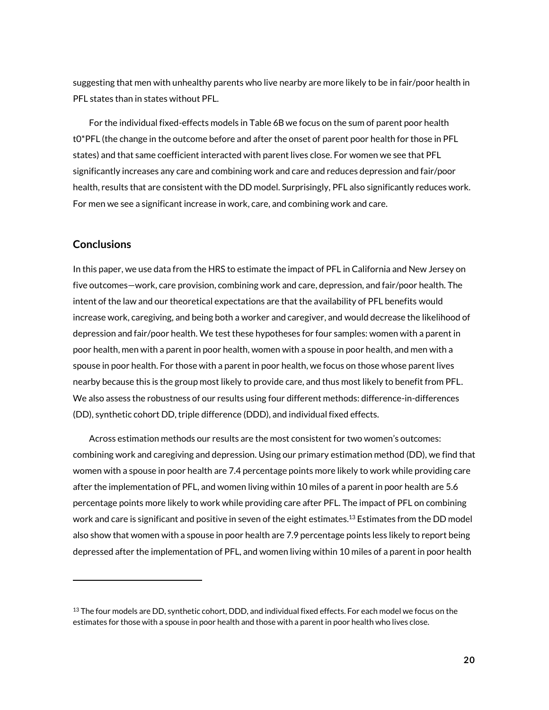suggesting that men with unhealthy parents who live nearby are more likely to be in fair/poor health in PFL states than in states without PFL.

For the individual fixed-effects models in Table 6B we focus on the sum of parent poor health t0\*PFL (the change in the outcome before and after the onset of parent poor health for those in PFL states) and that same coefficient interacted with parent lives close. For women we see that PFL significantly increases any care and combining work and care and reduces depression and fair/poor health, results that are consistent with the DD model. Surprisingly, PFL also significantly reduces work. For men we see a significant increase in work, care, and combining work and care.

## **Conclusions**

 $\overline{a}$ 

In this paper, we use data from the HRS to estimate the impact of PFL in California and New Jersey on five outcomes—work, care provision, combining work and care, depression, and fair/poor health. The intent of the law and our theoretical expectations are that the availability of PFL benefits would increase work, caregiving, and being both a worker and caregiver, and would decrease the likelihood of depression and fair/poor health. We test these hypotheses for four samples: women with a parent in poor health, men with a parent in poor health, women with a spouse in poor health, and men with a spouse in poor health. For those with a parent in poor health, we focus on those whose parent lives nearby because this is the group most likely to provide care, and thus most likely to benefit from PFL. We also assess the robustness of our results using four different methods: difference-in-differences (DD), synthetic cohort DD, triple difference (DDD), and individual fixed effects.

Across estimation methods our results are the most consistent for two women's outcomes: combining work and caregiving and depression. Using our primary estimation method (DD), we find that women with a spouse in poor health are 7.4 percentage points more likely to work while providing care after the implementation of PFL, and women living within 10 miles of a parent in poor health are 5.6 percentage points more likely to work while providing care after PFL. The impact of PFL on combining work and care is significant and positive in seven of the eight estimates. $^{13}$  Estimates from the DD model also show that women with a spouse in poor health are 7.9 percentage points less likely to report being depressed after the implementation of PFL, and women living within 10 miles of a parent in poor health

 $13$  The four models are DD, synthetic cohort, DDD, and individual fixed effects. For each model we focus on the estimates for those with a spouse in poor health and those with a parent in poor health who lives close.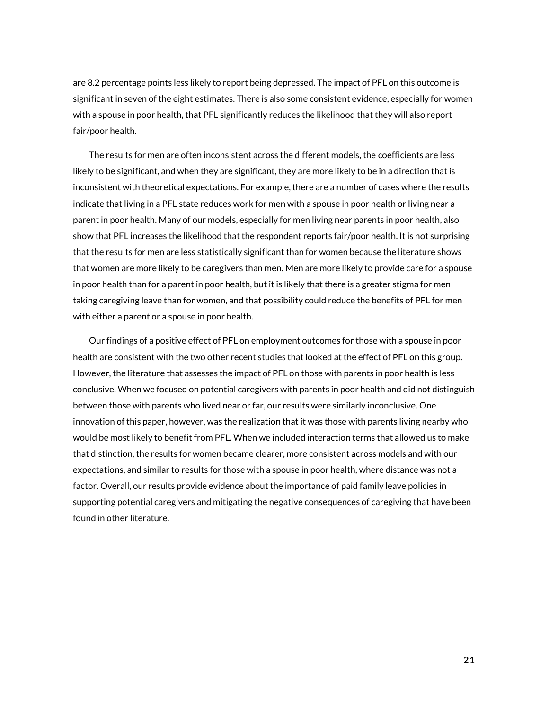are 8.2 percentage points less likely to report being depressed. The impact of PFL on this outcome is significant in seven of the eight estimates. There is also some consistent evidence, especially for women with a spouse in poor health, that PFL significantly reduces the likelihood that they will also report fair/poor health.

The results for men are often inconsistent across the different models, the coefficients are less likely to be significant, and when they are significant, they are more likely to be in a direction that is inconsistent with theoretical expectations. For example, there are a number of cases where the results indicate that living in a PFL state reduces work for men with a spouse in poor health or living near a parent in poor health. Many of our models, especially for men living near parents in poor health, also show that PFL increases the likelihood that the respondent reports fair/poor health. It is not surprising that the results for men are less statistically significant than for women because the literature shows that women are more likely to be caregivers than men. Men are more likely to provide care for a spouse in poor health than for a parent in poor health, but it is likely that there is a greater stigma for men taking caregiving leave than for women, and that possibility could reduce the benefits of PFL for men with either a parent or a spouse in poor health.

Our findings of a positive effect of PFL on employment outcomes for those with a spouse in poor health are consistent with the two other recent studies that looked at the effect of PFL on this group. However, the literature that assesses the impact of PFL on those with parents in poor health is less conclusive. When we focused on potential caregivers with parents in poor health and did not distinguish between those with parents who lived near or far, our results were similarly inconclusive. One innovation of this paper, however, was the realization that it was those with parents living nearby who would be most likely to benefit from PFL. When we included interaction terms that allowed us to make that distinction, the results for women became clearer, more consistent across models and with our expectations, and similar to results for those with a spouse in poor health, where distance was not a factor. Overall, our results provide evidence about the importance of paid family leave policies in supporting potential caregivers and mitigating the negative consequences of caregiving that have been found in other literature.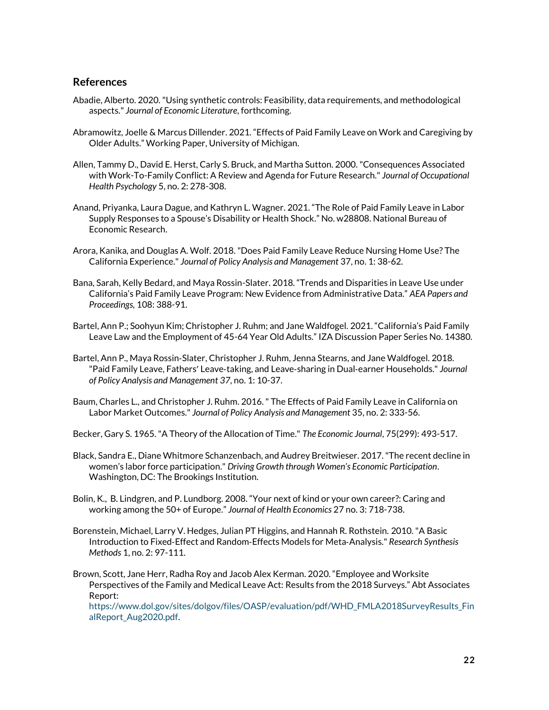## **References**

- Abadie, Alberto. 2020. "Using synthetic controls: Feasibility, data requirements, and methodological aspects." *Journal of Economic Literature*, forthcoming.
- Abramowitz, Joelle & Marcus Dillender. 2021. "Effects of Paid Family Leave on Work and Caregiving by Older Adults." Working Paper, University of Michigan.
- Allen, Tammy D., David E. Herst, Carly S. Bruck, and Martha Sutton. 2000. "Consequences Associated with Work-To-Family Conflict: A Review and Agenda for Future Research." *Journal of Occupational Health Psychology* 5, no. 2: 278-308.
- Anand, Priyanka, Laura Dague, and Kathryn L. Wagner. 2021. "The Role of Paid Family Leave in Labor Supply Responses to a Spouse's Disability or Health Shock." No. w28808. National Bureau of Economic Research.
- Arora, Kanika, and Douglas A. Wolf. 2018. "Does Paid Family Leave Reduce Nursing Home Use? The California Experience." *Journal of Policy Analysis and Management* 37, no. 1: 38-62.
- Bana, Sarah, Kelly Bedard, and Maya Rossin-Slater. 2018. "Trends and Disparities in Leave Use under California's Paid Family Leave Program: New Evidence from Administrative Data." *AEA Papers and Proceedings,* 108: 388-91.
- Bartel, Ann P.; Soohyun Kim; Christopher J. Ruhm; and Jane Waldfogel. 2021. "California's Paid Family Leave Law and the Employment of 45-64 Year Old Adults." IZA Discussion Paper Series No. 14380.
- Bartel, Ann P., Maya Rossin‐Slater, Christopher J. Ruhm, Jenna Stearns, and Jane Waldfogel. 2018. "Paid Family Leave, Fathers' Leave‐taking, and Leave‐sharing in Dual‐earner Households." *Journal of Policy Analysis and Management 37*, no. 1: 10-37.
- Baum, Charles L., and Christopher J. Ruhm. 2016. " The Effects of Paid Family Leave in California on Labor Market Outcomes." *Journal of Policy Analysis and Management* 35, no. 2: 333-56.
- Becker, Gary S. 1965. "A Theory of the Allocation of Time." *The Economic Journal*, 75(299): 493-517.
- Black, Sandra E., Diane Whitmore Schanzenbach, and Audrey Breitwieser. 2017. "The recent decline in women's labor force participation." *Driving Growth through Women's Economic Participation*. Washington, DC: The Brookings Institution.
- Bolin, K., B. Lindgren, and P. Lundborg. 2008. "Your next of kind or your own career?: Caring and working among the 50+ of Europe." *Journal of Health Economics* 27 no. 3: 718-738.
- Borenstein, Michael, Larry V. Hedges, Julian PT Higgins, and Hannah R. Rothstein. 2010. "A Basic Introduction to Fixed‐Effect and Random‐Effects Models for Meta‐Analysis." *Research Synthesis Methods* 1, no. 2: 97-111.
- Brown, Scott, Jane Herr, Radha Roy and Jacob Alex Kerman. 2020. "Employee and Worksite Perspectives of the Family and Medical Leave Act: Results from the 2018 Surveys." Abt Associates Report:

[https://www.dol.gov/sites/dolgov/files/OASP/evaluation/pdf/WHD\\_FMLA2018SurveyResults\\_Fin](https://www.dol.gov/sites/dolgov/files/OASP/evaluation/pdf/WHD_FMLA2018SurveyResults_FinalReport_Aug2020.pdf) [alReport\\_Aug2020.pdf.](https://www.dol.gov/sites/dolgov/files/OASP/evaluation/pdf/WHD_FMLA2018SurveyResults_FinalReport_Aug2020.pdf)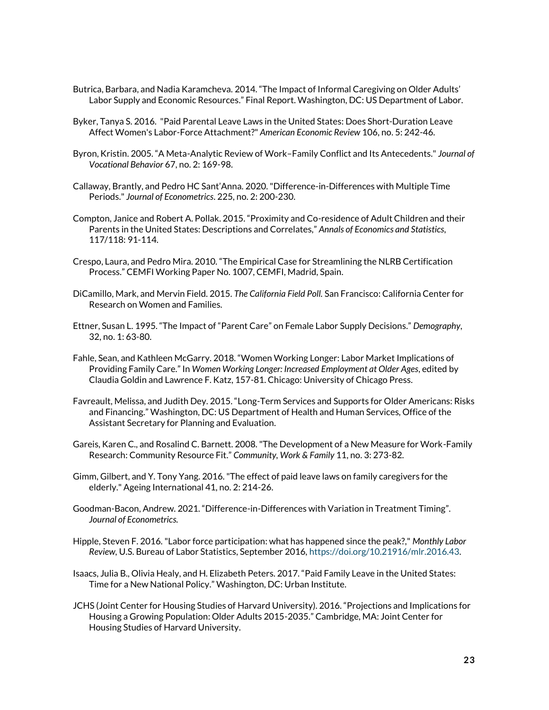- Butrica, Barbara, and Nadia Karamcheva. 2014. "The Impact of Informal Caregiving on Older Adults' Labor Supply and Economic Resources." Final Report. Washington, DC: US Department of Labor.
- Byker, Tanya S. 2016. "Paid Parental Leave Laws in the United States: Does Short-Duration Leave Affect Women's Labor-Force Attachment?" *American Economic Review* 106, no. 5: 242-46.
- Byron, Kristin. 2005. "A Meta-Analytic Review of Work–Family Conflict and Its Antecedents." *Journal of Vocational Behavior* 67, no. 2: 169-98.
- Callaway, Brantly, and Pedro HC Sant'Anna. 2020."Difference-in-Differences with Multiple Time Periods." *Journal of Econometrics*. 225, no. 2: 200-230.
- Compton, Janice and Robert A. Pollak. 2015. "Proximity and Co-residence of Adult Children and their Parents in the United States: Descriptions and Correlates," *Annals of Economics and Statistics,* 117/118: 91-114.
- Crespo, Laura, and Pedro Mira. 2010. "The Empirical Case for Streamlining the NLRB Certification Process." CEMFI Working Paper No. 1007, CEMFI, Madrid, Spain.
- DiCamillo, Mark, and Mervin Field. 2015. *The California Field Poll.* San Francisco: California Center for Research on Women and Families.
- Ettner, Susan L. 1995. "The Impact of "Parent Care" on Female Labor Supply Decisions." *Demography*, 32, no. 1: 63-80.
- Fahle, Sean, and Kathleen McGarry. 2018. "Women Working Longer: Labor Market Implications of Providing Family Care." In *Women Working Longer: Increased Employment at Older Ages*, edited by Claudia Goldin and Lawrence F. Katz, 157-81. Chicago: University of Chicago Press.
- Favreault, Melissa, and Judith Dey. 2015. "Long-Term Services and Supports for Older Americans: Risks and Financing." Washington, DC: US Department of Health and Human Services, Office of the Assistant Secretary for Planning and Evaluation.
- Gareis, Karen C., and Rosalind C. Barnett. 2008. "The Development of a New Measure for Work-Family Research: Community Resource Fit." *Community, Work & Family* 11, no. 3: 273-82.
- Gimm, Gilbert, and Y. Tony Yang. 2016. "The effect of paid leave laws on family caregivers for the elderly." Ageing International 41, no. 2: 214-26.
- Goodman-Bacon, Andrew. 2021. "Difference-in-Differences with Variation in Treatment Timing". *Journal of Econometrics.*
- Hipple, Steven F. 2016. "Labor force participation: what has happened since the peak?," *Monthly Labor Review,* U.S. Bureau of Labor Statistics, September 2016, [https://doi.org/10.21916/mlr.2016.43.](https://doi.org/10.21916/mlr.2016.43)
- Isaacs, Julia B., Olivia Healy, and H. Elizabeth Peters. 2017. "Paid Family Leave in the United States: Time for a New National Policy." Washington, DC: Urban Institute.
- JCHS (Joint Center for Housing Studies of Harvard University). 2016. "Projections and Implications for Housing a Growing Population: Older Adults 2015-2035." Cambridge, MA: Joint Center for Housing Studies of Harvard University.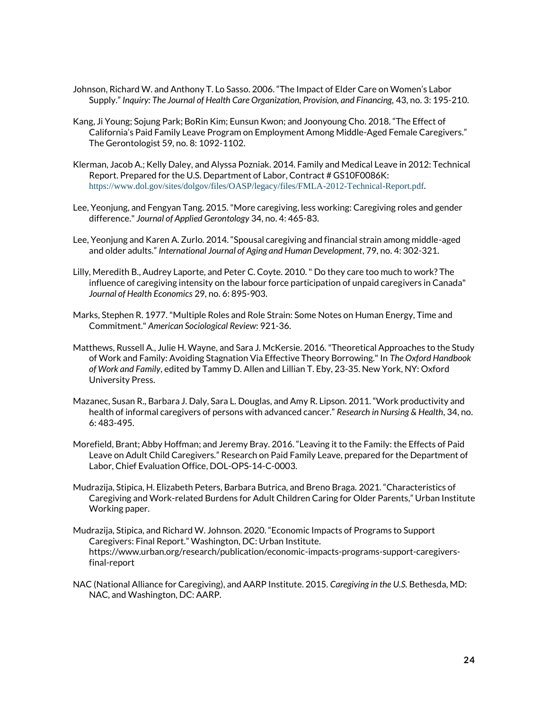- Johnson, Richard W. and Anthony T. Lo Sasso. 2006. "The Impact of Elder Care on Women's Labor Supply." *Inquiry: The Journal of Health Care Organization, Provision, and Financing, 43, no. 3: 195-210.*
- Kang, Ji Young; Sojung Park; BoRin Kim; Eunsun Kwon; and Joonyoung Cho. 2018. "The Effect of California's Paid Family Leave Program on Employment Among Middle-Aged Female Caregivers." The Gerontologist 59, no. 8: 1092-1102.
- Klerman, Jacob A.; Kelly Daley, and Alyssa Pozniak. 2014. Family and Medical Leave in 2012: Technical Report. Prepared for the U.S. Department of Labor, Contract # GS10F0086K: <https://www.dol.gov/sites/dolgov/files/OASP/legacy/files/FMLA-2012-Technical-Report.pdf>.
- Lee, Yeonjung, and Fengyan Tang. 2015. "More caregiving, less working: Caregiving roles and gender difference." *Journal of Applied Gerontology* 34, no. 4: 465-83.
- Lee, Yeonjung and Karen A. Zurlo. 2014. "Spousal caregiving and financial strain among middle-aged and older adults." *International Journal of Aging and Human Development*, 79, no. 4: 302-321.
- Lilly, Meredith B., Audrey Laporte, and Peter C. Coyte. 2010. " Do they care too much to work? The influence of caregiving intensity on the labour force participation of unpaid caregivers in Canada" *Journal of Health Economics* 29, no. 6: 895-903.
- Marks, Stephen R. 1977. "Multiple Roles and Role Strain: Some Notes on Human Energy, Time and Commitment." *American Sociological Review*: 921-36.
- Matthews, Russell A., Julie H. Wayne, and Sara J. McKersie. 2016. "Theoretical Approaches to the Study of Work and Family: Avoiding Stagnation Via Effective Theory Borrowing." In *The Oxford Handbook of Work and Family*, edited by Tammy D. Allen and Lillian T. Eby, 23-35. New York, NY: Oxford University Press.
- Mazanec, Susan R., Barbara J. Daly, Sara L. Douglas, and Amy R. Lipson. 2011. "Work productivity and health of informal caregivers of persons with advanced cancer." *Research in Nursing & Health*, 34, no. 6: 483-495.
- Morefield, Brant; Abby Hoffman; and Jeremy Bray. 2016. "Leaving it to the Family: the Effects of Paid Leave on Adult Child Caregivers." Research on Paid Family Leave, prepared for the Department of Labor, Chief Evaluation Office, DOL-OPS-14-C-0003.
- Mudrazija, Stipica, H. Elizabeth Peters, Barbara Butrica, and Breno Braga. 2021. "Characteristics of Caregiving and Work-related Burdens for Adult Children Caring for Older Parents," Urban Institute Working paper.
- Mudrazija, Stipica, and Richard W. Johnson. 2020. "Economic Impacts of Programs to Support Caregivers: Final Report." Washington, DC: Urban Institute. https://www.urban.org/research/publication/economic-impacts-programs-support-caregiversfinal-report
- NAC (National Alliance for Caregiving), and AARP Institute. 2015. *Caregiving in the U.S.* Bethesda, MD: NAC, and Washington, DC: AARP.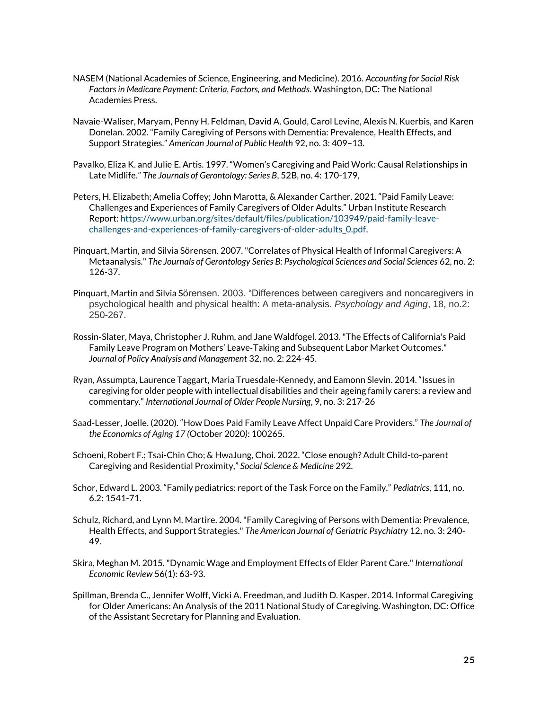- NASEM (National Academies of Science, Engineering, and Medicine). 2016. *Accounting for Social Risk Factors in Medicare Payment: Criteria, Factors, and Methods.* Washington, DC: The National Academies Press.
- Navaie-Waliser, Maryam, Penny H. Feldman, David A. Gould, Carol Levine, Alexis N. Kuerbis, and Karen Donelan. 2002. "Family Caregiving of Persons with Dementia: Prevalence, Health Effects, and Support Strategies." *American Journal of Public Health* 92, no. 3: 409–13.
- Pavalko, Eliza K. and Julie E. Artis. 1997. "Women's Caregiving and Paid Work: Causal Relationships in Late Midlife." *The Journals of Gerontology: Series B*, 52B, no. 4: 170-179,
- Peters, H. Elizabeth; Amelia Coffey; John Marotta, & Alexander Carther. 2021. "Paid Family Leave: Challenges and Experiences of Family Caregivers of Older Adults." Urban Institute Research Report[: https://www.urban.org/sites/default/files/publication/103949/paid-family-leave](https://www.urban.org/sites/default/files/publication/103949/paid-family-leave-challenges-and-experiences-of-family-caregivers-of-older-adults_0.pdf)[challenges-and-experiences-of-family-caregivers-of-older-adults\\_0.pdf.](https://www.urban.org/sites/default/files/publication/103949/paid-family-leave-challenges-and-experiences-of-family-caregivers-of-older-adults_0.pdf)
- Pinquart, Martin, and Silvia Sörensen. 2007. "Correlates of Physical Health of Informal Caregivers: A Metaanalysis." *The Journals of Gerontology Series B: Psychological Sciences and Social Sciences* 62, no. 2: 126-37.
- Pinquart, Martin and Silvia Sörensen. 2003. "Differences between caregivers and noncaregivers in psychological health and physical health: A meta-analysis. *Psychology and Aging*, 18, no.2: 250-267.
- Rossin‐Slater, Maya, Christopher J. Ruhm, and Jane Waldfogel. 2013. "The Effects of California's Paid Family Leave Program on Mothers' Leave‐Taking and Subsequent Labor Market Outcomes." *Journal of Policy Analysis and Management* 32, no. 2: 224-45.
- Ryan, Assumpta, Laurence Taggart, Maria Truesdale-Kennedy, and Eamonn Slevin. 2014. "Issues in caregiving for older people with intellectual disabilities and their ageing family carers: a review and commentary." *International Journal of Older People Nursing*, 9, no. 3: 217-26
- Saad-Lesser, Joelle. (2020). "How Does Paid Family Leave Affect Unpaid Care Providers." *The Journal of the Economics of Aging 17 (*October 2020*)*: 100265.
- Schoeni, Robert F.; Tsai-Chin Cho; & HwaJung, Choi. 2022. "Close enough? Adult Child-to-parent Caregiving and Residential Proximity," *Social Science & Medicine* 292.
- Schor, Edward L. 2003. "Family pediatrics: report of the Task Force on the Family." *Pediatrics*, 111, no. 6.2: 1541-71.
- Schulz, Richard, and Lynn M. Martire. 2004. "Family Caregiving of Persons with Dementia: Prevalence, Health Effects, and Support Strategies." *The American Journal of Geriatric Psychiatry* 12, no. 3: 240- 49.
- Skira, Meghan M. 2015. "Dynamic Wage and Employment Effects of Elder Parent Care." *International Economic Review* 56(1): 63-93.
- Spillman, Brenda C., Jennifer Wolff, Vicki A. Freedman, and Judith D. Kasper. 2014. Informal Caregiving for Older Americans: An Analysis of the 2011 National Study of Caregiving. Washington, DC: Office of the Assistant Secretary for Planning and Evaluation.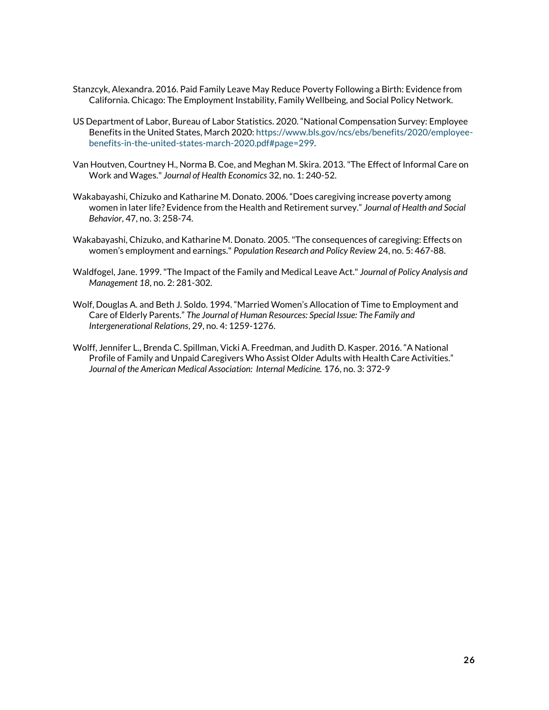- Stanzcyk, Alexandra. 2016. Paid Family Leave May Reduce Poverty Following a Birth: Evidence from California. Chicago: The Employment Instability, Family Wellbeing, and Social Policy Network.
- US Department of Labor, Bureau of Labor Statistics. 2020. "National Compensation Survey: Employee Benefits in the United States, March 2020: [https://www.bls.gov/ncs/ebs/benefits/2020/employee](https://www.bls.gov/ncs/ebs/benefits/2020/employee-benefits-in-the-united-states-march-2020.pdf#page=299)[benefits-in-the-united-states-march-2020.pdf#page=299.](https://www.bls.gov/ncs/ebs/benefits/2020/employee-benefits-in-the-united-states-march-2020.pdf#page=299)
- Van Houtven, Courtney H., Norma B. Coe, and Meghan M. Skira. 2013. "The Effect of Informal Care on Work and Wages." *Journal of Health Economics* 32, no. 1: 240-52.
- Wakabayashi, Chizuko and Katharine M. Donato. 2006. "Does caregiving increase poverty among women in later life? Evidence from the Health and Retirement survey." *Journal of Health and Social Behavior*, 47, no. 3: 258-74.
- Wakabayashi, Chizuko, and Katharine M. Donato. 2005. "The consequences of caregiving: Effects on women's employment and earnings." *Population Research and Policy Review* 24, no. 5: 467-88.
- Waldfogel, Jane. 1999. "The Impact of the Family and Medical Leave Act." *Journal of Policy Analysis and Management 18*, no. 2: 281-302.
- Wolf, Douglas A. and Beth J. Soldo. 1994. "Married Women's Allocation of Time to Employment and Care of Elderly Parents." *The Journal of Human Resources: Special Issue: The Family and Intergenerational Relations*, 29, no. 4: 1259-1276.
- Wolff, Jennifer L., Brenda C. Spillman, Vicki A. Freedman, and Judith D. Kasper. 2016. "A National Profile of Family and Unpaid Caregivers Who Assist Older Adults with Health Care Activities." *Journal of the American Medical Association: Internal Medicine.* 176, no. 3: 372-9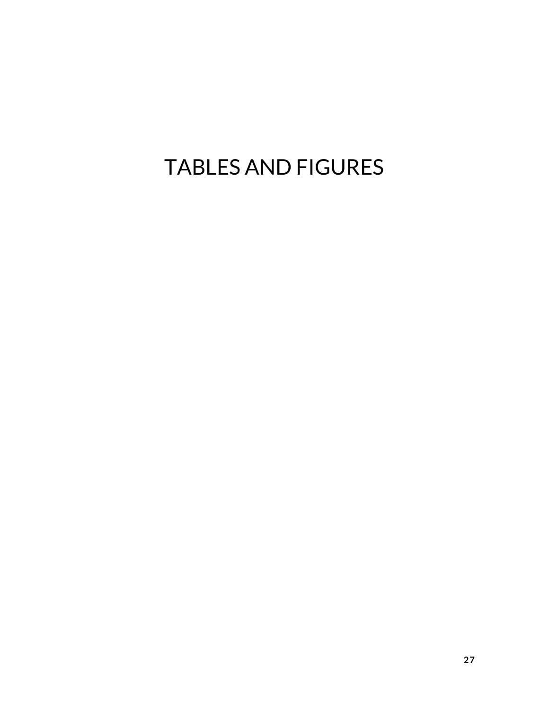# TABLES AND FIGURES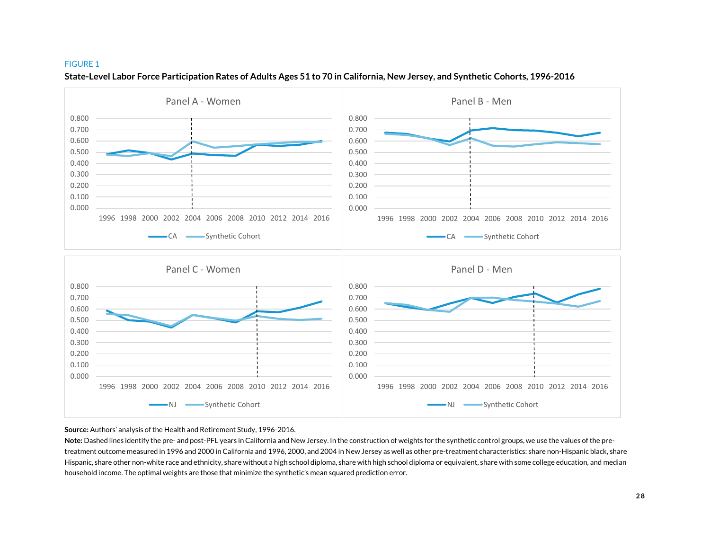#### FIGURE 1



#### **State-Level Labor Force Participation Rates of Adults Ages 51 to 70 in California, New Jersey, and Synthetic Cohorts, 1996-2016**

**Source:** Authors' analysis of the Health and Retirement Study, 1996-2016.

**Note:** Dashed lines identify the pre- and post-PFL years in California and New Jersey. In the construction of weights for the synthetic control groups, we use the values of the pretreatment outcome measured in 1996 and 2000 in California and 1996, 2000, and 2004 in New Jersey as well as other pre-treatment characteristics: share non-Hispanic black, share Hispanic, share other non-white race and ethnicity, share without a high school diploma, share with high school diploma or equivalent, share with some college education, and median household income. The optimal weights are those that minimize the synthetic's mean squared prediction error.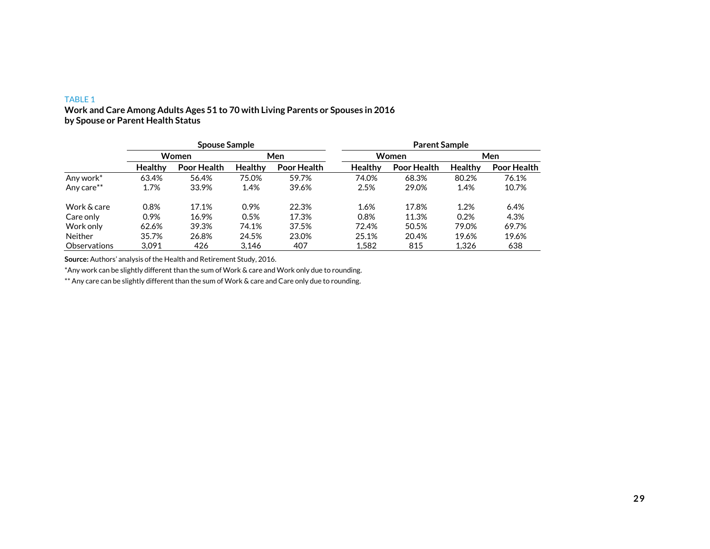## TABLE 1

## **Work and Care Among Adults Ages 51 to 70 with Living Parents or Spouses in 2016 by Spouse or Parent Health Status**

|                     |                | <b>Spouse Sample</b> |                |             | <b>Parent Sample</b> |             |                |             |  |  |
|---------------------|----------------|----------------------|----------------|-------------|----------------------|-------------|----------------|-------------|--|--|
|                     |                | <b>Women</b>         |                | Men         |                      | Women       |                | Men         |  |  |
|                     | <b>Healthy</b> | Poor Health          | <b>Healthy</b> | Poor Health | <b>Healthy</b>       | Poor Health | <b>Healthy</b> | Poor Health |  |  |
| Any work*           | 63.4%          | 56.4%                | 75.0%          | 59.7%       | 74.0%                | 68.3%       | 80.2%          | 76.1%       |  |  |
| Any care**          | 1.7%           | 33.9%                | 1.4%           | 39.6%       | 2.5%                 | 29.0%       | 1.4%           | 10.7%       |  |  |
| Work & care         | 0.8%           | 17.1%                | 0.9%           | 22.3%       | 1.6%                 | 17.8%       | 1.2%           | 6.4%        |  |  |
| Care only           | 0.9%           | 16.9%                | 0.5%           | 17.3%       | 0.8%                 | 11.3%       | 0.2%           | 4.3%        |  |  |
| Work only           | 62.6%          | 39.3%                | 74.1%          | 37.5%       | 72.4%                | 50.5%       | 79.0%          | 69.7%       |  |  |
| <b>Neither</b>      | 35.7%          | 26.8%                | 24.5%          | 23.0%       | 25.1%                | 20.4%       | 19.6%          | 19.6%       |  |  |
| <b>Observations</b> | 3.091          | 426                  | 3.146          | 407         | 1.582                | 815         | 1,326          | 638         |  |  |

**Source:** Authors' analysis of the Health and Retirement Study, 2016.

\*Any work can be slightly different than the sum of Work & care and Work only due to rounding.

\*\* Any care can be slightly different than the sum of Work & care and Care only due to rounding.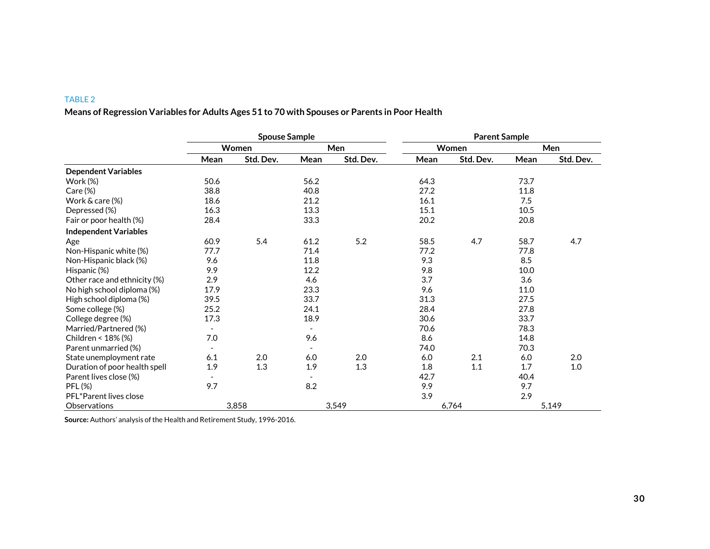## TABLE 2

# **Means of Regression Variables for Adults Ages 51 to 70 with Spouses or Parents in Poor Health**

|                               | <b>Spouse Sample</b>     |           |                          |           | <b>Parent Sample</b> |           |      |           |
|-------------------------------|--------------------------|-----------|--------------------------|-----------|----------------------|-----------|------|-----------|
|                               |                          | Women     |                          | Men       |                      | Women     |      | Men       |
|                               | Mean                     | Std. Dev. | Mean                     | Std. Dev. | Mean                 | Std. Dev. | Mean | Std. Dev. |
| <b>Dependent Variables</b>    |                          |           |                          |           |                      |           |      |           |
| Work $(%)$                    | 50.6                     |           | 56.2                     |           | 64.3                 |           | 73.7 |           |
| $Care (\%)$                   | 38.8                     |           | 40.8                     |           | 27.2                 |           | 11.8 |           |
| Work & care (%)               | 18.6                     |           | 21.2                     |           | 16.1                 |           | 7.5  |           |
| Depressed (%)                 | 16.3                     |           | 13.3                     |           | 15.1                 |           | 10.5 |           |
| Fair or poor health (%)       | 28.4                     |           | 33.3                     |           | 20.2                 |           | 20.8 |           |
| <b>Independent Variables</b>  |                          |           |                          |           |                      |           |      |           |
| Age                           | 60.9                     | 5.4       | 61.2                     | 5.2       | 58.5                 | 4.7       | 58.7 | 4.7       |
| Non-Hispanic white (%)        | 77.7                     |           | 71.4                     |           | 77.2                 |           | 77.8 |           |
| Non-Hispanic black (%)        | 9.6                      |           | 11.8                     |           | 9.3                  |           | 8.5  |           |
| Hispanic (%)                  | 9.9                      |           | 12.2                     |           | 9.8                  |           | 10.0 |           |
| Other race and ethnicity (%)  | 2.9                      |           | 4.6                      |           | 3.7                  |           | 3.6  |           |
| No high school diploma (%)    | 17.9                     |           | 23.3                     |           | 9.6                  |           | 11.0 |           |
| High school diploma (%)       | 39.5                     |           | 33.7                     |           | 31.3                 |           | 27.5 |           |
| Some college (%)              | 25.2                     |           | 24.1                     |           | 28.4                 |           | 27.8 |           |
| College degree (%)            | 17.3                     |           | 18.9                     |           | 30.6                 |           | 33.7 |           |
| Married/Partnered (%)         |                          |           |                          |           | 70.6                 |           | 78.3 |           |
| Children < 18% (%)            | 7.0                      |           | 9.6                      |           | 8.6                  |           | 14.8 |           |
| Parent unmarried (%)          | $\overline{\phantom{a}}$ |           | $\overline{\phantom{a}}$ |           | 74.0                 |           | 70.3 |           |
| State unemployment rate       | 6.1                      | 2.0       | 6.0                      | 2.0       | 6.0                  | 2.1       | 6.0  | 2.0       |
| Duration of poor health spell | 1.9                      | 1.3       | 1.9                      | 1.3       | 1.8                  | 1.1       | 1.7  | 1.0       |
| Parent lives close (%)        |                          |           | $\blacksquare$           |           | 42.7                 |           | 40.4 |           |
| <b>PFL (%)</b>                | 9.7                      |           | 8.2                      |           | 9.9                  |           | 9.7  |           |
| PFL*Parent lives close        |                          |           |                          |           | 3.9                  |           | 2.9  |           |
| Observations                  |                          | 3,858     |                          | 3,549     |                      | 6,764     |      | 5,149     |

**Source:** Authors' analysis of the Health and Retirement Study, 1996-2016.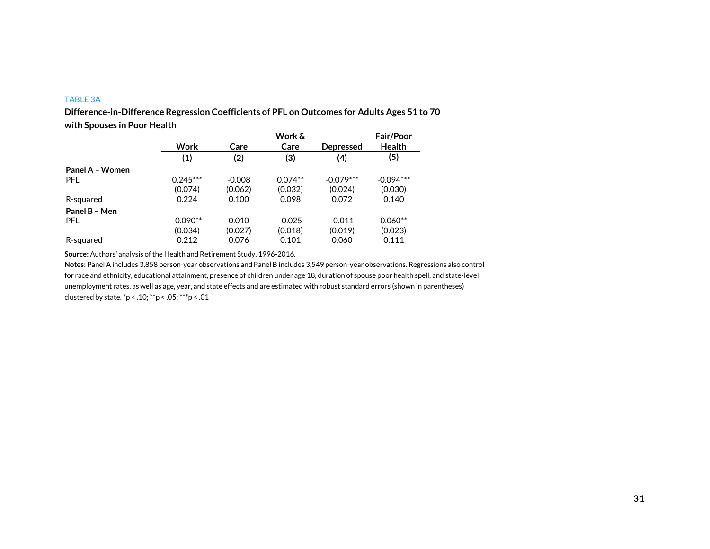## TABLE 3A

**Difference-in-Difference Regression Coefficients of PFL on Outcomes for Adults Ages 51 to 70 with Spouses in Poor Health**

|                 |            |          | Work &    |                  | <b>Fair/Poor</b> |
|-----------------|------------|----------|-----------|------------------|------------------|
|                 | Work       | Care     | Care      | <b>Depressed</b> | <b>Health</b>    |
|                 | (1)        | (2)      | (3)       | (4)              | (5)              |
| Panel A - Women |            |          |           |                  |                  |
| PFL             | $0.245***$ | $-0.008$ | $0.074**$ | $-0.079***$      | $-0.094***$      |
|                 | (0.074)    | (0.062)  | (0.032)   | (0.024)          | (0.030)          |
| R-squared       | 0.224      | 0.100    | 0.098     | 0.072            | 0.140            |
| Panel B - Men   |            |          |           |                  |                  |
| <b>PFL</b>      | $-0.090**$ | 0.010    | $-0.025$  | $-0.011$         | $0.060**$        |
|                 | (0.034)    | (0.027)  | (0.018)   | (0.019)          | (0.023)          |
| R-squared       | 0.212      | 0.076    | 0.101     | 0.060            | 0.111            |

**Source:** Authors' analysis of the Health and Retirement Study, 1996-2016.

**Notes:** Panel A includes 3,858 person-year observations and Panel B includes 3,549 person-year observations. Regressions also control for race and ethnicity, educational attainment, presence of children under age 18, duration of spouse poor health spell, and state-level unemployment rates, as well as age, year, and state effects and are estimated with robust standard errors (shown in parentheses) clustered by state. \*p < .10; \*\*p < .05; \*\*\*p < .01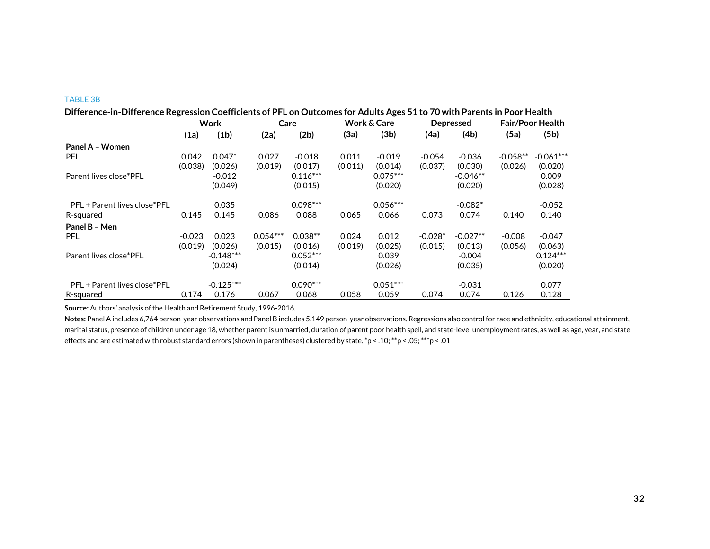## TABLE 3B

|                              |          | Work        |            | Care       |         | <b>Work &amp; Care</b> | <b>Depressed</b> |            | <b>Fair/Poor Health</b> |             |
|------------------------------|----------|-------------|------------|------------|---------|------------------------|------------------|------------|-------------------------|-------------|
|                              | (1a)     | (1b)        | (2a)       | (2b)       | (3a)    | (3b)                   | (4a)             | (4b)       | (5a)                    | (5b)        |
| Panel A - Women              |          |             |            |            |         |                        |                  |            |                         |             |
| <b>PFL</b>                   | 0.042    | $0.047*$    | 0.027      | $-0.018$   | 0.011   | $-0.019$               | $-0.054$         | $-0.036$   | $-0.058**$              | $-0.061***$ |
|                              | (0.038)  | (0.026)     | (0.019)    | (0.017)    | (0.011) | (0.014)                | (0.037)          | (0.030)    | (0.026)                 | (0.020)     |
| Parent lives close*PFL       |          | $-0.012$    |            | $0.116***$ |         | $0.075***$             |                  | $-0.046**$ |                         | 0.009       |
|                              |          | (0.049)     |            | (0.015)    |         | (0.020)                |                  | (0.020)    |                         | (0.028)     |
| PFL + Parent lives close*PFL |          | 0.035       |            | $0.098***$ |         | $0.056***$             |                  | $-0.082*$  |                         | $-0.052$    |
| R-squared                    | 0.145    | 0.145       | 0.086      | 0.088      | 0.065   | 0.066                  | 0.073            | 0.074      | 0.140                   | 0.140       |
| Panel B - Men                |          |             |            |            |         |                        |                  |            |                         |             |
| <b>PFL</b>                   | $-0.023$ | 0.023       | $0.054***$ | $0.038**$  | 0.024   | 0.012                  | $-0.028*$        | $-0.027**$ | $-0.008$                | $-0.047$    |
|                              | (0.019)  | (0.026)     | (0.015)    | (0.016)    | (0.019) | (0.025)                | (0.015)          | (0.013)    | (0.056)                 | (0.063)     |
| Parent lives close*PFL       |          | $-0.148***$ |            | $0.052***$ |         | 0.039                  |                  | $-0.004$   |                         | $0.124***$  |
|                              |          | (0.024)     |            | (0.014)    |         | (0.026)                |                  | (0.035)    |                         | (0.020)     |
| PFL + Parent lives close*PFL |          | $-0.125***$ |            | $0.090***$ |         | $0.051***$             |                  | $-0.031$   |                         | 0.077       |
| R-squared                    | 0.174    | 0.176       | 0.067      | 0.068      | 0.058   | 0.059                  | 0.074            | 0.074      | 0.126                   | 0.128       |

**Source:** Authors' analysis of the Health and Retirement Study, 1996-2016.

**Notes:** Panel A includes 6,764 person-year observations and Panel B includes 5,149 person-year observations. Regressions also control for race and ethnicity, educational attainment, marital status, presence of children under age 18, whether parent is unmarried, duration of parent poor health spell, and state-level unemployment rates, as well as age, year, and state effects and are estimated with robust standard errors (shown in parentheses) clustered by state. \*p < .10; \*\*p < .05; \*\*\*p < .01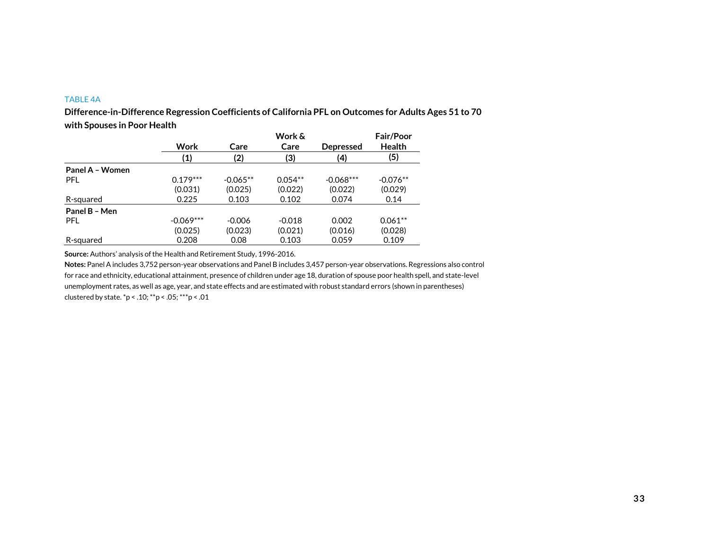## TABLE 4A

**Difference-in-Difference Regression Coefficients of California PFL on Outcomes for Adults Ages 51 to 70 with Spouses in Poor Health**

|                 |             |            | Work &    |                  | <b>Fair/Poor</b> |
|-----------------|-------------|------------|-----------|------------------|------------------|
|                 | Work        | Care       | Care      | <b>Depressed</b> | <b>Health</b>    |
|                 | (1)         | (2)        | (3)       | (4)              | (5)              |
| Panel A - Women |             |            |           |                  |                  |
| <b>PFL</b>      | $0.179***$  | $-0.065**$ | $0.054**$ | $-0.068***$      | $-0.076**$       |
|                 | (0.031)     | (0.025)    | (0.022)   | (0.022)          | (0.029)          |
| R-squared       | 0.225       | 0.103      | 0.102     | 0.074            | 0.14             |
| Panel B - Men   |             |            |           |                  |                  |
| <b>PFL</b>      | $-0.069***$ | $-0.006$   | $-0.018$  | 0.002            | $0.061**$        |
|                 | (0.025)     | (0.023)    | (0.021)   | (0.016)          | (0.028)          |
| R-squared       | 0.208       | 0.08       | 0.103     | 0.059            | 0.109            |

**Source:** Authors' analysis of the Health and Retirement Study, 1996-2016.

**Notes:** Panel A includes 3,752 person-year observations and Panel B includes 3,457 person-year observations. Regressions also control for race and ethnicity, educational attainment, presence of children under age 18, duration of spouse poor health spell, and state-level unemployment rates, as well as age, year, and state effects and are estimated with robust standard errors (shown in parentheses) clustered by state. \*p < .10; \*\*p < .05; \*\*\*p < .01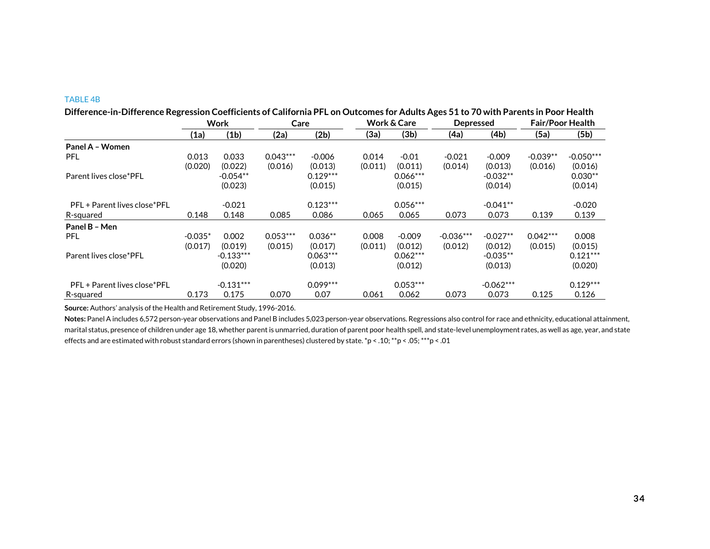#### TABLE 4B

| Difference-in-Difference Regression Coefficients of California PFL on Outcomes for Adults Ages 51 to 70 with Parents in Poor Health |           |             |            |            |         |                        |             |                  |            |                         |  |
|-------------------------------------------------------------------------------------------------------------------------------------|-----------|-------------|------------|------------|---------|------------------------|-------------|------------------|------------|-------------------------|--|
|                                                                                                                                     | Work      |             | Care       |            |         | <b>Work &amp; Care</b> |             | <b>Depressed</b> |            | <b>Fair/Poor Health</b> |  |
|                                                                                                                                     | (1a)      | (1b)        | (2a)       | (2b)       | (3a)    | (3b)                   | (4a)        | (4b)             | (5a)       | (5b)                    |  |
| Panel A - Women                                                                                                                     |           |             |            |            |         |                        |             |                  |            |                         |  |
| PFL.                                                                                                                                | 0.013     | 0.033       | $0.043***$ | $-0.006$   | 0.014   | $-0.01$                | $-0.021$    | $-0.009$         | $-0.039**$ | $-0.050***$             |  |
|                                                                                                                                     | (0.020)   | (0.022)     | (0.016)    | (0.013)    | (0.011) | (0.011)                | (0.014)     | (0.013)          | (0.016)    | (0.016)                 |  |
| Parent lives close*PFL                                                                                                              |           | $-0.054**$  |            | $0.129***$ |         | $0.066***$             |             | $-0.032**$       |            | $0.030**$               |  |
|                                                                                                                                     |           | (0.023)     |            | (0.015)    |         | (0.015)                |             | (0.014)          |            | (0.014)                 |  |
| PFL + Parent lives close*PFL                                                                                                        |           | $-0.021$    |            | $0.123***$ |         | $0.056***$             |             | $-0.041**$       |            | $-0.020$                |  |
| R-squared                                                                                                                           | 0.148     | 0.148       | 0.085      | 0.086      | 0.065   | 0.065                  | 0.073       | 0.073            | 0.139      | 0.139                   |  |
| Panel B - Men                                                                                                                       |           |             |            |            |         |                        |             |                  |            |                         |  |
| <b>PFL</b>                                                                                                                          | $-0.035*$ | 0.002       | $0.053***$ | $0.036**$  | 0.008   | $-0.009$               | $-0.036***$ | $-0.027**$       | $0.042***$ | 0.008                   |  |
|                                                                                                                                     | (0.017)   | (0.019)     | (0.015)    | (0.017)    | (0.011) | (0.012)                | (0.012)     | (0.012)          | (0.015)    | (0.015)                 |  |
| Parent lives close*PFL                                                                                                              |           | $-0.133***$ |            | $0.063***$ |         | $0.062***$             |             | $-0.035**$       |            | $0.121***$              |  |
|                                                                                                                                     |           | (0.020)     |            | (0.013)    |         | (0.012)                |             | (0.013)          |            | (0.020)                 |  |
| PFL + Parent lives close*PFL                                                                                                        |           | $-0.131***$ |            | $0.099***$ |         | $0.053***$             |             | $-0.062***$      |            | $0.129***$              |  |
| R-squared                                                                                                                           | 0.173     | 0.175       | 0.070      | 0.07       | 0.061   | 0.062                  | 0.073       | 0.073            | 0.125      | 0.126                   |  |

**Difference-in-Difference Regression Coefficients of California PFL on Outcomes for Adults Ages 51 to 70 with Parents in Poor Health**

**Source:** Authors' analysis of the Health and Retirement Study, 1996-2016.

**Notes:** Panel A includes 6,572 person-year observations and Panel B includes 5,023 person-year observations. Regressions also control for race and ethnicity, educational attainment, marital status, presence of children under age 18, whether parent is unmarried, duration of parent poor health spell, and state-level unemployment rates, as well as age, year, and state effects and are estimated with robust standard errors (shown in parentheses) clustered by state. \*p < .10; \*\*p < .05; \*\*\*p < .01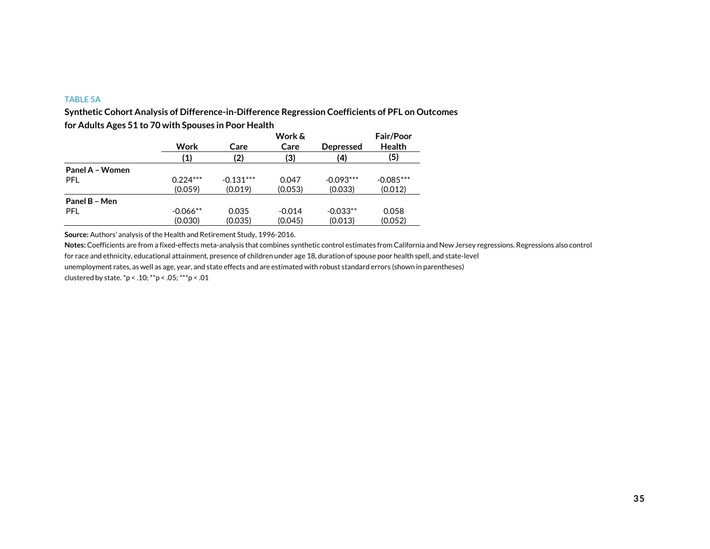#### TABLE 5A

**Synthetic Cohort Analysis of Difference-in-Difference Regression Coefficients of PFL on Outcomes** 

|                 |            | Work &      |          |                  |               |  |  |  |  |
|-----------------|------------|-------------|----------|------------------|---------------|--|--|--|--|
|                 | Work       | Care        | Care     | <b>Depressed</b> | <b>Health</b> |  |  |  |  |
|                 | (1)        | (2)         | (3)      | (4)              | (5)           |  |  |  |  |
| Panel A - Women |            |             |          |                  |               |  |  |  |  |
| PFL             | $0.224***$ | $-0.131***$ | 0.047    | $-0.093***$      | $-0.085***$   |  |  |  |  |
|                 | (0.059)    | (0.019)     | (0.053)  | (0.033)          | (0.012)       |  |  |  |  |
| Panel B - Men   |            |             |          |                  |               |  |  |  |  |
| <b>PFL</b>      | $-0.066**$ | 0.035       | $-0.014$ | $-0.033**$       | 0.058         |  |  |  |  |
|                 | (0.030)    | (0.035)     | (0.045)  | (0.013)          | (0.052)       |  |  |  |  |

**for Adults Ages 51 to 70 with Spouses in Poor Health**

**Source:** Authors' analysis of the Health and Retirement Study, 1996-2016.

**Notes:** Coefficients are from a fixed-effects meta-analysis that combines synthetic control estimates from California and New Jersey regressions. Regressions also control

for race and ethnicity, educational attainment, presence of children under age 18, duration of spouse poor health spell, and state-level

unemployment rates, as well as age, year, and state effects and are estimated with robust standard errors (shown in parentheses)

clustered by state. \*p < .10; \*\*p < .05; \*\*\*p < .01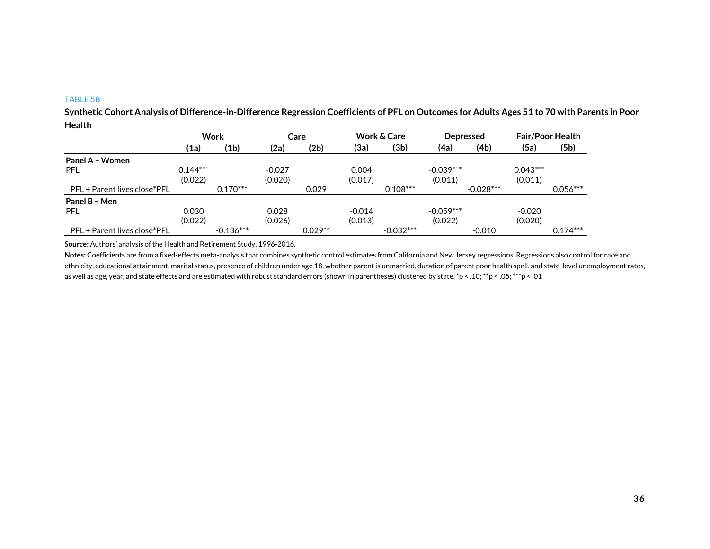#### TABLE 5B

**Synthetic Cohort Analysis of Difference-in-Difference Regression Coefficients of PFL on Outcomes for Adults Ages 51 to 70 with Parents in Poor Health**

|                              | <b>Work</b>  |                   | Care     |           | <b>Work &amp; Care</b><br><b>Depressed</b> |             |             |             | <b>Fair/Poor Health</b> |            |
|------------------------------|--------------|-------------------|----------|-----------|--------------------------------------------|-------------|-------------|-------------|-------------------------|------------|
|                              | $\mathbf{a}$ | (1 <sub>b</sub> ) | (2a)     | (2b)      | (3a)                                       | (3b)        | (4a)        | (4b)        | (5a)                    | (5b)       |
| Panel A - Women              |              |                   |          |           |                                            |             |             |             |                         |            |
| <b>PFL</b>                   | $0.144***$   |                   | $-0.027$ |           | 0.004                                      |             | $-0.039***$ |             | $0.043***$              |            |
|                              | (0.022)      |                   | (0.020)  |           | (0.017)                                    |             | (0.011)     |             | (0.011)                 |            |
| PFL + Parent lives close*PFL |              | $0.170***$        |          | 0.029     |                                            | $0.108***$  |             | $-0.028***$ |                         | $0.056***$ |
| Panel B - Men                |              |                   |          |           |                                            |             |             |             |                         |            |
| <b>PFL</b>                   | 0.030        |                   | 0.028    |           | $-0.014$                                   |             | $-0.059***$ |             | $-0.020$                |            |
|                              | (0.022)      |                   | (0.026)  |           | (0.013)                                    |             | (0.022)     |             | (0.020)                 |            |
| PFL + Parent lives close*PFL |              | $-0.136***$       |          | $0.029**$ |                                            | $-0.032***$ |             | $-0.010$    |                         | $0.174***$ |

**Source:** Authors' analysis of the Health and Retirement Study, 1996-2016.

**Notes:** Coefficients are from a fixed-effects meta-analysis that combines synthetic control estimates from California and New Jersey regressions. Regressions also control for race and ethnicity, educational attainment, marital status, presence of children under age 18, whether parent is unmarried, duration of parent poor health spell, and state-level unemployment rates, as well as age, year, and state effects and are estimated with robust standard errors (shown in parentheses) clustered by state. \*p < .10; \*\*p < .05; \*\*\*p < .01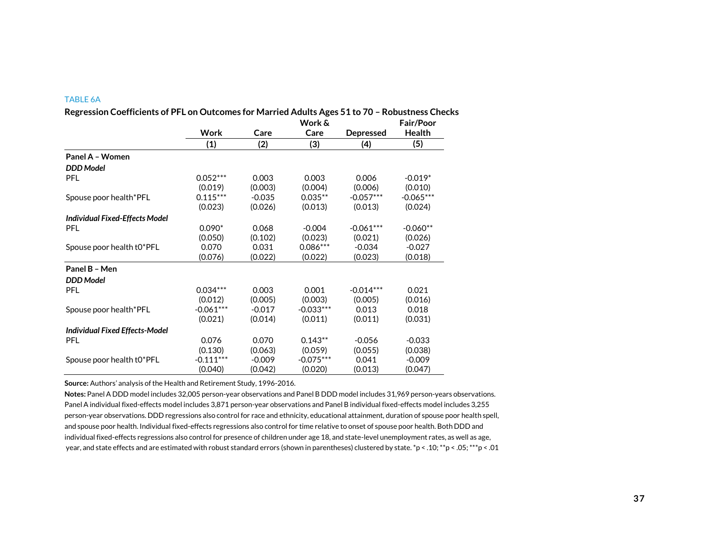#### TABLE 6A

|                                       |             |          | Work &      |                  | <b>Fair/Poor</b> |
|---------------------------------------|-------------|----------|-------------|------------------|------------------|
|                                       | <b>Work</b> | Care     | Care        | <b>Depressed</b> | <b>Health</b>    |
|                                       | (1)         | (2)      | (3)         | (4)              | (5)              |
| Panel A - Women                       |             |          |             |                  |                  |
| <b>DDD</b> Model                      |             |          |             |                  |                  |
| <b>PFL</b>                            | $0.052***$  | 0.003    | 0.003       | 0.006            | $-0.019*$        |
|                                       | (0.019)     | (0.003)  | (0.004)     | (0.006)          | (0.010)          |
| Spouse poor health*PFL                | $0.115***$  | $-0.035$ | $0.035**$   | $-0.057***$      | $-0.065***$      |
|                                       | (0.023)     | (0.026)  | (0.013)     | (0.013)          | (0.024)          |
| <b>Individual Fixed-Effects Model</b> |             |          |             |                  |                  |
| <b>PFL</b>                            | $0.090*$    | 0.068    | $-0.004$    | $-0.061***$      | $-0.060**$       |
|                                       | (0.050)     | (0.102)  | (0.023)     | (0.021)          | (0.026)          |
| Spouse poor health t0*PFL             | 0.070       | 0.031    | $0.086***$  | $-0.034$         | $-0.027$         |
|                                       | (0.076)     | (0.022)  | (0.022)     | (0.023)          | (0.018)          |
| Panel B - Men                         |             |          |             |                  |                  |
| <b>DDD</b> Model                      |             |          |             |                  |                  |
| <b>PFL</b>                            | $0.034***$  | 0.003    | 0.001       | $-0.014***$      | 0.021            |
|                                       | (0.012)     | (0.005)  | (0.003)     | (0.005)          | (0.016)          |
| Spouse poor health*PFL                | $-0.061***$ | $-0.017$ | $-0.033***$ | 0.013            | 0.018            |
|                                       | (0.021)     | (0.014)  | (0.011)     | (0.011)          | (0.031)          |
| <b>Individual Fixed Effects-Model</b> |             |          |             |                  |                  |
| <b>PFL</b>                            | 0.076       | 0.070    | $0.143**$   | $-0.056$         | $-0.033$         |
|                                       | (0.130)     | (0.063)  | (0.059)     | (0.055)          | (0.038)          |
| Spouse poor health t0*PFL             | $-0.111***$ | $-0.009$ | $-0.075***$ | 0.041            | $-0.009$         |
|                                       | (0.040)     | (0.042)  | (0.020)     | (0.013)          | (0.047)          |

**Regression Coefficients of PFL on Outcomes for Married Adults Ages 51 to 70 – Robustness Checks**

**Source:** Authors' analysis of the Health and Retirement Study, 1996-2016.

**Notes:** Panel A DDD model includes 32,005 person-year observations and Panel B DDD model includes 31,969 person-years observations. Panel A individual fixed-effects model includes 3,871 person-year observations and Panel B individual fixed-effects model includes 3,255 person-year observations. DDD regressions also control for race and ethnicity, educational attainment, duration of spouse poor health spell, and spouse poor health. Individual fixed-effects regressions also control for time relative to onset of spouse poor health. Both DDD and individual fixed-effects regressions also control for presence of children under age 18, and state-level unemployment rates, as well as age, year, and state effects and are estimated with robust standard errors (shown in parentheses) clustered by state. \*p < .10; \*\*p < .05; \*\*\*p < .01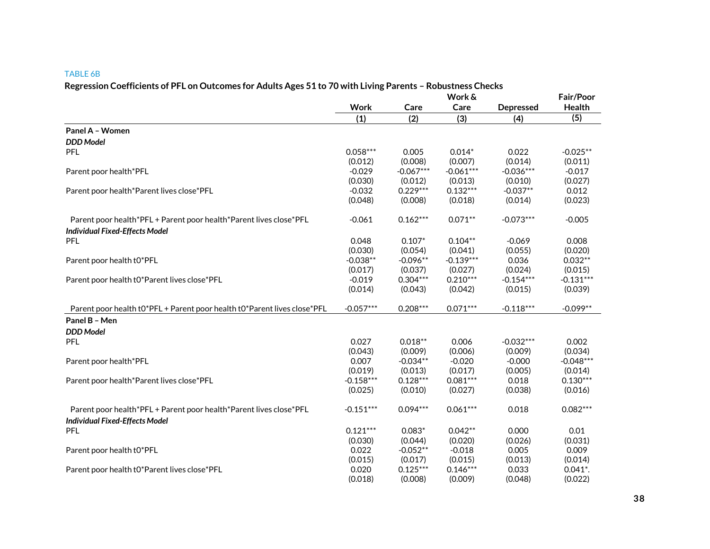#### TABLE 6B

## **Regression Coefficients of PFL on Outcomes for Adults Ages 51 to 70 with Living Parents – Robustness Checks**

|                                                                          | Work &      |             |             |                  | Fair/Poor              |  |
|--------------------------------------------------------------------------|-------------|-------------|-------------|------------------|------------------------|--|
|                                                                          | Work        | Care        | Care        | <b>Depressed</b> | <b>Health</b>          |  |
|                                                                          | (1)         | (2)         | (3)         | (4)              | (5)                    |  |
| Panel A - Women                                                          |             |             |             |                  |                        |  |
| <b>DDD</b> Model                                                         |             |             |             |                  |                        |  |
| <b>PFL</b>                                                               | $0.058***$  | 0.005       | $0.014*$    | 0.022            | $-0.025**$             |  |
|                                                                          | (0.012)     | (0.008)     | (0.007)     | (0.014)          | (0.011)                |  |
| Parent poor health*PFL                                                   | $-0.029$    | $-0.067***$ | $-0.061***$ | $-0.036***$      | $-0.017$               |  |
|                                                                          | (0.030)     | (0.012)     | (0.013)     | (0.010)          | (0.027)                |  |
| Parent poor health*Parent lives close*PFL                                | $-0.032$    | $0.229***$  | $0.132***$  | $-0.037**$       | 0.012                  |  |
|                                                                          | (0.048)     | (0.008)     | (0.018)     | (0.014)          | (0.023)                |  |
| Parent poor health*PFL + Parent poor health*Parent lives close*PFL       | $-0.061$    | $0.162***$  | $0.071**$   | $-0.073***$      | $-0.005$               |  |
| <b>Individual Fixed-Effects Model</b>                                    |             |             |             |                  |                        |  |
| <b>PFL</b>                                                               | 0.048       | $0.107*$    | $0.104**$   | $-0.069$         | 0.008                  |  |
|                                                                          | (0.030)     | (0.054)     | (0.041)     | (0.055)          | (0.020)                |  |
| Parent poor health t0*PFL                                                | $-0.038**$  | $-0.096**$  | $-0.139***$ | 0.036            | $0.032**$              |  |
|                                                                          | (0.017)     | (0.037)     | (0.027)     | (0.024)          | (0.015)                |  |
| Parent poor health t0*Parent lives close*PFL                             | $-0.019$    | $0.304***$  | $0.210***$  | $-0.154***$      | $-0.131***$            |  |
|                                                                          | (0.014)     | (0.043)     | (0.042)     | (0.015)          | (0.039)                |  |
| Parent poor health t0*PFL + Parent poor health t0*Parent lives close*PFL | $-0.057***$ | $0.208***$  | $0.071***$  | $-0.118***$      | $-0.099**$             |  |
| Panel B - Men                                                            |             |             |             |                  |                        |  |
| <b>DDD</b> Model                                                         |             |             |             |                  |                        |  |
| <b>PFL</b>                                                               | 0.027       | $0.018**$   | 0.006       | $-0.032***$      | 0.002                  |  |
|                                                                          | (0.043)     | (0.009)     | (0.006)     | (0.009)          | (0.034)                |  |
| Parent poor health*PFL                                                   | 0.007       | $-0.034**$  | $-0.020$    | $-0.000$         | $-0.048***$            |  |
|                                                                          | (0.019)     | (0.013)     | (0.017)     | (0.005)          | (0.014)                |  |
| Parent poor health*Parent lives close*PFL                                | $-0.158***$ | $0.128***$  | $0.081***$  | 0.018            | $0.130***$             |  |
|                                                                          | (0.025)     | (0.010)     | (0.027)     | (0.038)          | (0.016)                |  |
| Parent poor health*PFL + Parent poor health*Parent lives close*PFL       | $-0.151***$ | $0.094***$  | $0.061***$  | 0.018            | $0.082***$             |  |
| <b>Individual Fixed-Effects Model</b>                                    |             |             |             |                  |                        |  |
| <b>PFL</b>                                                               | $0.121***$  | $0.083*$    | $0.042**$   | 0.000            | 0.01                   |  |
|                                                                          | (0.030)     | (0.044)     | (0.020)     | (0.026)          | (0.031)                |  |
| Parent poor health t0*PFL                                                | 0.022       | $-0.052**$  | $-0.018$    | 0.005            | 0.009                  |  |
|                                                                          | (0.015)     | (0.017)     | (0.015)     | (0.013)          | (0.014)                |  |
| Parent poor health t0*Parent lives close*PFL                             | 0.020       | $0.125***$  | $0.146***$  | 0.033            | $0.041$ <sup>*</sup> . |  |
|                                                                          | (0.018)     | (0.008)     | (0.009)     | (0.048)          | (0.022)                |  |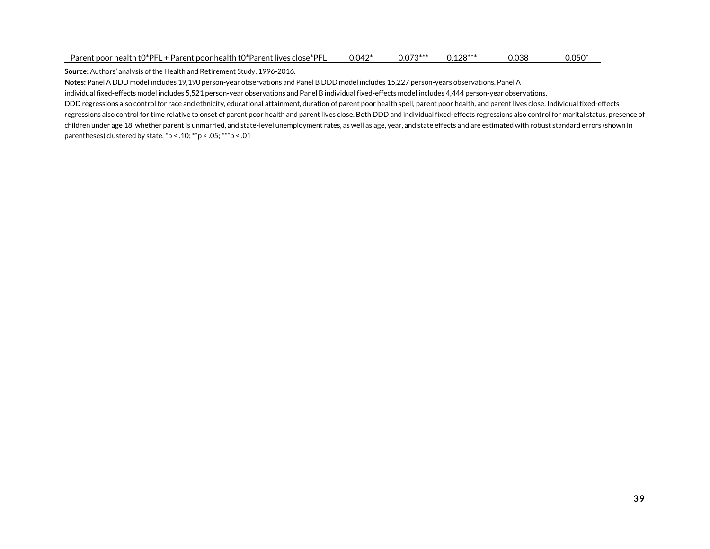| Parent poor health $t0^*$ PFL + Parent poor health $t0^*$ Parent lives close $^*$ PFL | 0.042* | $0.073***$ | $0.128***$ | J.038 | $0.050*$ |
|---------------------------------------------------------------------------------------|--------|------------|------------|-------|----------|
|---------------------------------------------------------------------------------------|--------|------------|------------|-------|----------|

**Source:** Authors' analysis of the Health and Retirement Study, 1996-2016.

**Notes:** Panel A DDD model includes 19,190 person-year observations and Panel B DDD model includes 15,227 person-years observations. Panel A

individual fixed-effects model includes 5,521 person-year observations and Panel B individual fixed-effects model includes 4,444 person-year observations.

DDD regressions also control for race and ethnicity, educational attainment, duration of parent poor health spell, parent poor health, and parent lives close. Individual fixed-effects regressions also control for time relative to onset of parent poor health and parent lives close. Both DDD and individual fixed-effects regressions also control for marital status, presence of children under age 18, whether parent is unmarried, and state-level unemployment rates, as well as age, year, and state effects and are estimated with robust standard errors (shown in parentheses) clustered by state. \*p < .10; \*\*p < .05; \*\*\*p < .01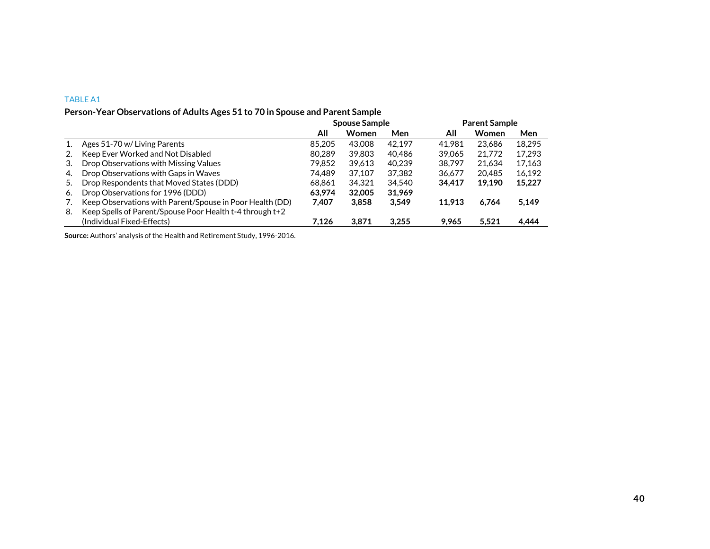## TABLE A1

# **Person-Year Observations of Adults Ages 51 to 70 in Spouse and Parent Sample**

|    |                                                          |        | <b>Spouse Sample</b> |        | <b>Parent Sample</b> |        |        |  |
|----|----------------------------------------------------------|--------|----------------------|--------|----------------------|--------|--------|--|
|    |                                                          | All    | Women                | Men    | All                  | Women  | Men    |  |
|    | Ages 51-70 w/ Living Parents                             | 85,205 | 43,008               | 42.197 | 41.981               | 23.686 | 18.295 |  |
| 2. | Keep Ever Worked and Not Disabled                        | 80.289 | 39.803               | 40.486 | 39.065               | 21,772 | 17.293 |  |
| 3. | Drop Observations with Missing Values                    | 79.852 | 39,613               | 40.239 | 38.797               | 21.634 | 17,163 |  |
| 4. | Drop Observations with Gaps in Waves                     | 74.489 | 37.107               | 37.382 | 36.677               | 20.485 | 16,192 |  |
| 5. | Drop Respondents that Moved States (DDD)                 | 68.861 | 34.321               | 34.540 | 34.417               | 19.190 | 15,227 |  |
| 6. | Drop Observations for 1996 (DDD)                         | 63.974 | 32,005               | 31.969 |                      |        |        |  |
| 7. | Keep Observations with Parent/Spouse in Poor Health (DD) | 7.407  | 3.858                | 3.549  | 11.913               | 6.764  | 5,149  |  |
| 8. | Keep Spells of Parent/Spouse Poor Health t-4 through t+2 |        |                      |        |                      |        |        |  |
|    | (Individual Fixed-Effects)                               | 7,126  | 3,871                | 3,255  | 9,965                | 5,521  | 4,444  |  |

**Source:** Authors' analysis of the Health and Retirement Study, 1996-2016.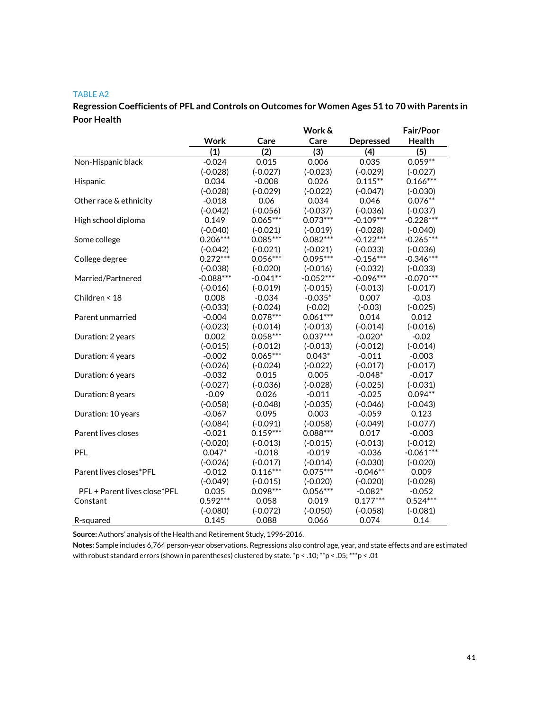## TABLE A2

# **Regression Coefficients of PFL and Controls on Outcomes for Women Ages 51 to 70 with Parents in Poor Health**

|                              |             |            | Work &      |                  | <b>Fair/Poor</b> |
|------------------------------|-------------|------------|-------------|------------------|------------------|
|                              | <b>Work</b> | Care       | Care        | <b>Depressed</b> | Health           |
|                              | (1)         | (2)        | (3)         | (4)              | (5)              |
| Non-Hispanic black           | $-0.024$    | 0.015      | 0.006       | 0.035            | $0.059**$        |
|                              | $(-0.028)$  | $(-0.027)$ | $(-0.023)$  | $(-0.029)$       | $(-0.027)$       |
| Hispanic                     | 0.034       | $-0.008$   | 0.026       | $0.115***$       | $0.166***$       |
|                              | $(-0.028)$  | $(-0.029)$ | $(-0.022)$  | $(-0.047)$       | $(-0.030)$       |
| Other race & ethnicity       | $-0.018$    | 0.06       | 0.034       | 0.046            | $0.076**$        |
|                              | $(-0.042)$  | $(-0.056)$ | $(-0.037)$  | $(-0.036)$       | $(-0.037)$       |
| High school diploma          | 0.149       | $0.065***$ | $0.073***$  | $-0.109***$      | $-0.228***$      |
|                              | $(-0.040)$  | $(-0.021)$ | $(-0.019)$  | $(-0.028)$       | $(-0.040)$       |
| Some college                 | $0.206***$  | $0.085***$ | $0.082***$  | $-0.122***$      | $-0.265***$      |
|                              | $(-0.042)$  | $(-0.021)$ | $(-0.021)$  | $(-0.033)$       | $(-0.036)$       |
| College degree               | $0.272***$  | $0.056***$ | $0.095***$  | $-0.156***$      | $-0.346***$      |
|                              | $(-0.038)$  | $(-0.020)$ | $(-0.016)$  | $(-0.032)$       | $(-0.033)$       |
| Married/Partnered            | $-0.088***$ | $-0.041**$ | $-0.052***$ | $-0.096***$      | $-0.070***$      |
|                              | $(-0.016)$  | $(-0.019)$ | $(-0.015)$  | $(-0.013)$       | $(-0.017)$       |
| Children < 18                | 0.008       | $-0.034$   | $-0.035*$   | 0.007            | $-0.03$          |
|                              | $(-0.033)$  | $(-0.024)$ | $(-0.02)$   | $(-0.03)$        | $(-0.025)$       |
| Parent unmarried             | $-0.004$    | $0.078***$ | $0.061***$  | 0.014            | 0.012            |
|                              | $(-0.023)$  | $(-0.014)$ | $(-0.013)$  | $(-0.014)$       | $(-0.016)$       |
| Duration: 2 years            | 0.002       | $0.058***$ | $0.037***$  | $-0.020*$        | $-0.02$          |
|                              | $(-0.015)$  | $(-0.012)$ | $(-0.013)$  | $(-0.012)$       | $(-0.014)$       |
| Duration: 4 years            | $-0.002$    | $0.065***$ | $0.043*$    | $-0.011$         | $-0.003$         |
|                              | $(-0.026)$  | $(-0.024)$ | $(-0.022)$  | $(-0.017)$       | $(-0.017)$       |
| Duration: 6 years            | $-0.032$    | 0.015      | 0.005       | $-0.048*$        | $-0.017$         |
|                              | $(-0.027)$  | $(-0.036)$ | $(-0.028)$  | $(-0.025)$       | $(-0.031)$       |
| Duration: 8 years            | $-0.09$     | 0.026      | $-0.011$    | $-0.025$         | $0.094**$        |
|                              | $(-0.058)$  | $(-0.048)$ | $(-0.035)$  | $(-0.046)$       | $(-0.043)$       |
| Duration: 10 years           | $-0.067$    | 0.095      | 0.003       | $-0.059$         | 0.123            |
|                              | $(-0.084)$  | $(-0.091)$ | $(-0.058)$  | $(-0.049)$       | $(-0.077)$       |
| Parent lives closes          | $-0.021$    | $0.159***$ | $0.088***$  | 0.017            | $-0.003$         |
|                              | $(-0.020)$  | $(-0.013)$ | $(-0.015)$  | $(-0.013)$       | $(-0.012)$       |
| <b>PFL</b>                   | $0.047*$    | $-0.018$   | $-0.019$    | $-0.036$         | $-0.061***$      |
|                              | $(-0.026)$  | $(-0.017)$ | $(-0.014)$  | $(-0.030)$       | $(-0.020)$       |
| Parent lives closes*PFL      | $-0.012$    | $0.116***$ | $0.075***$  | $-0.046**$       | 0.009            |
|                              | $(-0.049)$  | $(-0.015)$ | $(-0.020)$  | $(-0.020)$       | $(-0.028)$       |
| PFL + Parent lives close*PFL | 0.035       | 0.098 ***  | $0.056***$  | $-0.082*$        | $-0.052$         |
| Constant                     | $0.592***$  | 0.058      | 0.019       | $0.177***$       | $0.524***$       |
|                              | $(-0.080)$  | $(-0.072)$ | $(-0.050)$  | $(-0.058)$       | $(-0.081)$       |
| R-squared                    | 0.145       | 0.088      | 0.066       | 0.074            | 0.14             |

**Source:** Authors' analysis of the Health and Retirement Study, 1996-2016.

**Notes:** Sample includes 6,764 person-year observations. Regressions also control age, year, and state effects and are estimated with robust standard errors (shown in parentheses) clustered by state. \*p < .10; \*\*p < .05; \*\*\*p < .01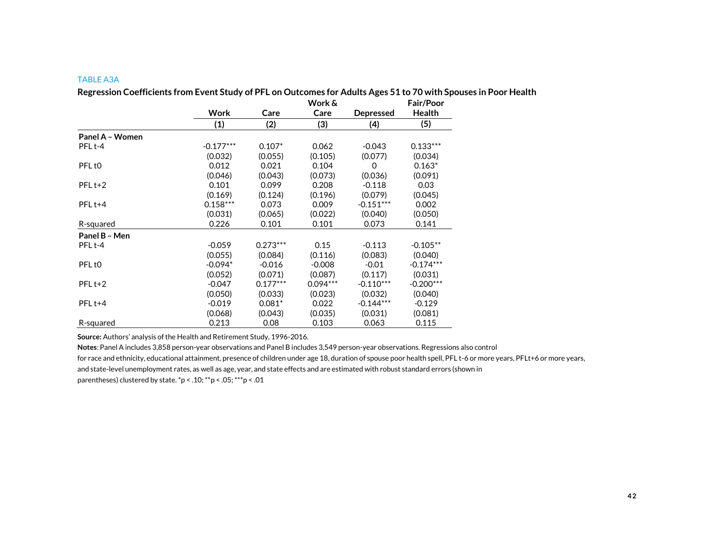### TABLE A3A

**Regression Coefficients from Event Study of PFL on Outcomes for Adults Ages 51 to 70 with Spouses in Poor Health**

|                    |             |            | Work &     |                  | <b>Fair/Poor</b> |
|--------------------|-------------|------------|------------|------------------|------------------|
|                    | Work        | Care       | Care       | <b>Depressed</b> | <b>Health</b>    |
|                    | (1)         | (2)        | (3)        | (4)              | (5)              |
| Panel A - Women    |             |            |            |                  |                  |
| PFL <sub>t-4</sub> | $-0.177***$ | $0.107*$   | 0.062      | $-0.043$         | $0.133***$       |
|                    | (0.032)     | (0.055)    | (0.105)    | (0.077)          | (0.034)          |
| PFL <sub>t0</sub>  | 0.012       | 0.021      | 0.104      | 0                | $0.163*$         |
|                    | (0.046)     | (0.043)    | (0.073)    | (0.036)          | (0.091)          |
| $PFLt+2$           | 0.101       | 0.099      | 0.208      | $-0.118$         | 0.03             |
|                    | (0.169)     | (0.124)    | (0.196)    | (0.079)          | (0.045)          |
| $PFLt+4$           | $0.158***$  | 0.073      | 0.009      | $-0.151***$      | 0.002            |
|                    | (0.031)     | (0.065)    | (0.022)    | (0.040)          | (0.050)          |
| R-squared          | 0.226       | 0.101      | 0.101      | 0.073            | 0.141            |
| Panel B - Men      |             |            |            |                  |                  |
| PFL <sub>t-4</sub> | $-0.059$    | $0.273***$ | 0.15       | $-0.113$         | $-0.105**$       |
|                    | (0.055)     | (0.084)    | (0.116)    | (0.083)          | (0.040)          |
| PFL <sub>t0</sub>  | $-0.094*$   | $-0.016$   | $-0.008$   | $-0.01$          | $-0.174***$      |
|                    | (0.052)     | (0.071)    | (0.087)    | (0.117)          | (0.031)          |
| $PFLt+2$           | $-0.047$    | $0.177***$ | $0.094***$ | $-0.110***$      | $-0.200***$      |
|                    | (0.050)     | (0.033)    | (0.023)    | (0.032)          | (0.040)          |
| PFL <sub>t+4</sub> | $-0.019$    | $0.081*$   | 0.022      | $-0.144***$      | $-0.129$         |
|                    | (0.068)     | (0.043)    | (0.035)    | (0.031)          | (0.081)          |
| R-squared          | 0.213       | 0.08       | 0.103      | 0.063            | 0.115            |

**Source:** Authors' analysis of the Health and Retirement Study, 1996-2016.

**Notes**: Panel A includes 3,858 person-year observations and Panel B includes 3,549 person-year observations. Regressions also control

for race and ethnicity, educational attainment, presence of children under age 18, duration of spouse poor health spell, PFL t-6 or more years, PFLt+6 or more years,

and state-level unemployment rates, as well as age, year, and state effects and are estimated with robust standard errors (shown in

parentheses) clustered by state. \*p < .10; \*\*p < .05; \*\*\*p < .01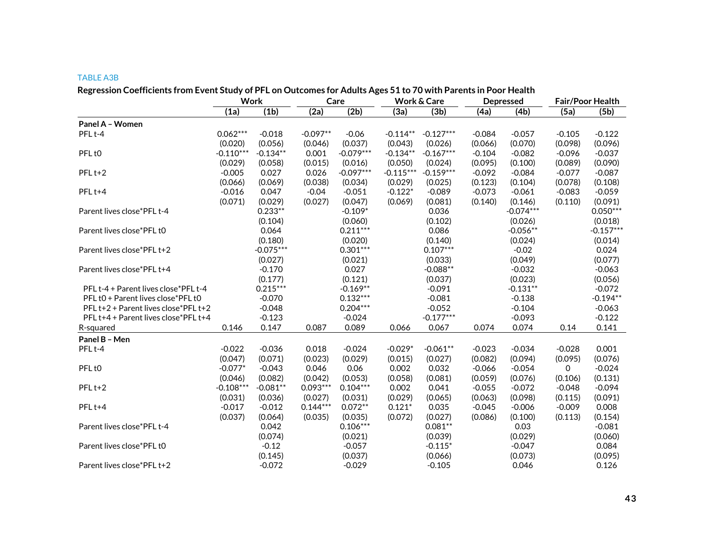#### TABLE A3B

| Regression Coefficients from Event Study of PFL on Outcomes for Adults Ages 51 to 70 with Parents in Poor Health |             | Work        |            | Care        |             | Work & Care |          | Depressed   |             | Fair/Poor Health |
|------------------------------------------------------------------------------------------------------------------|-------------|-------------|------------|-------------|-------------|-------------|----------|-------------|-------------|------------------|
|                                                                                                                  | (1a)        | (1b)        | (2a)       | (2b)        | (3a)        | (3b)        | (4a)     | (4b)        | (5a)        | (5b)             |
| Panel A - Women                                                                                                  |             |             |            |             |             |             |          |             |             |                  |
| PFL <sub>t-4</sub>                                                                                               | $0.062***$  | $-0.018$    | $-0.097**$ | $-0.06$     | $-0.114**$  | $-0.127***$ | $-0.084$ | $-0.057$    | $-0.105$    | $-0.122$         |
|                                                                                                                  | (0.020)     | (0.056)     | (0.046)    | (0.037)     | (0.043)     | (0.026)     | (0.066)  | (0.070)     | (0.098)     | (0.096)          |
| PFL <sub>t0</sub>                                                                                                | $-0.110***$ | $-0.134**$  | 0.001      | $-0.079***$ | $-0.134**$  | $-0.167***$ | $-0.104$ | $-0.082$    | $-0.096$    | $-0.037$         |
|                                                                                                                  | (0.029)     | (0.058)     | (0.015)    | (0.016)     | (0.050)     | (0.024)     | (0.095)  | (0.100)     | (0.089)     | (0.090)          |
| PFL <sub>t+2</sub>                                                                                               | $-0.005$    | 0.027       | 0.026      | $-0.097***$ | $-0.115***$ | $-0.159***$ | $-0.092$ | $-0.084$    | $-0.077$    | $-0.087$         |
|                                                                                                                  | (0.066)     | (0.069)     | (0.038)    | (0.034)     | (0.029)     | (0.025)     | (0.123)  | (0.104)     | (0.078)     | (0.108)          |
| PFL <sub>t+4</sub>                                                                                               | $-0.016$    | 0.047       | $-0.04$    | $-0.051$    | $-0.122*$   | $-0.089$    | $-0.073$ | $-0.061$    | $-0.083$    | $-0.059$         |
|                                                                                                                  | (0.071)     | (0.029)     | (0.027)    | (0.047)     | (0.069)     | (0.081)     | (0.140)  | (0.146)     | (0.110)     | (0.091)          |
| Parent lives close*PFL t-4                                                                                       |             | $0.233**$   |            | $-0.109*$   |             | 0.036       |          | $-0.074***$ |             | $0.050***$       |
|                                                                                                                  |             | (0.104)     |            | (0.060)     |             | (0.102)     |          | (0.026)     |             | (0.018)          |
| Parent lives close*PFL t0                                                                                        |             | 0.064       |            | $0.211***$  |             | 0.086       |          | $-0.056**$  |             | $-0.157***$      |
|                                                                                                                  |             | (0.180)     |            | (0.020)     |             | (0.140)     |          | (0.024)     |             | (0.014)          |
| Parent lives close*PFL t+2                                                                                       |             | $-0.075***$ |            | $0.301***$  |             | $0.107***$  |          | $-0.02$     |             | 0.024            |
|                                                                                                                  |             | (0.027)     |            | (0.021)     |             | (0.033)     |          | (0.049)     |             | (0.077)          |
| Parent lives close*PFL t+4                                                                                       |             | $-0.170$    |            | 0.027       |             | $-0.088**$  |          | $-0.032$    |             | $-0.063$         |
|                                                                                                                  |             | (0.177)     |            | (0.121)     |             | (0.037)     |          | (0.023)     |             | (0.056)          |
| PFL t-4 + Parent lives close*PFL t-4                                                                             |             | $0.215***$  |            | $-0.169**$  |             | $-0.091$    |          | $-0.131**$  |             | $-0.072$         |
| PFL t0 + Parent lives close*PFL t0                                                                               |             | $-0.070$    |            | $0.132***$  |             | $-0.081$    |          | $-0.138$    |             | $-0.194**$       |
| PFL t+2 + Parent lives close*PFL t+2                                                                             |             | $-0.048$    |            | $0.204***$  |             | $-0.052$    |          | $-0.104$    |             | $-0.063$         |
| PFL t+4 + Parent lives close*PFL t+4                                                                             |             | $-0.123$    |            | $-0.024$    |             | $-0.177***$ |          | $-0.093$    |             | $-0.122$         |
| R-squared                                                                                                        | 0.146       | 0.147       | 0.087      | 0.089       | 0.066       | 0.067       | 0.074    | 0.074       | 0.14        | 0.141            |
| Panel B - Men                                                                                                    |             |             |            |             |             |             |          |             |             |                  |
| PFL <sub>t-4</sub>                                                                                               | $-0.022$    | $-0.036$    | 0.018      | $-0.024$    | $-0.029*$   | $-0.061**$  | $-0.023$ | $-0.034$    | $-0.028$    | 0.001            |
|                                                                                                                  | (0.047)     | (0.071)     | (0.023)    | (0.029)     | (0.015)     | (0.027)     | (0.082)  | (0.094)     | (0.095)     | (0.076)          |
| PFL <sub>t0</sub>                                                                                                | $-0.077*$   | $-0.043$    | 0.046      | 0.06        | 0.002       | 0.032       | $-0.066$ | $-0.054$    | $\mathbf 0$ | $-0.024$         |
|                                                                                                                  | (0.046)     | (0.082)     | (0.042)    | (0.053)     | (0.058)     | (0.081)     | (0.059)  | (0.076)     | (0.106)     | (0.131)          |
| $PFLt+2$                                                                                                         | $-0.108***$ | $-0.081**$  | $0.093***$ | $0.104***$  | 0.002       | 0.041       | $-0.055$ | $-0.072$    | $-0.048$    | $-0.094$         |
|                                                                                                                  | (0.031)     | (0.036)     | (0.027)    | (0.031)     | (0.029)     | (0.065)     | (0.063)  | (0.098)     | (0.115)     | (0.091)          |
| PFL <sub>t+4</sub>                                                                                               | $-0.017$    | $-0.012$    | $0.144***$ | $0.072**$   | $0.121*$    | 0.035       | $-0.045$ | $-0.006$    | $-0.009$    | 0.008            |
|                                                                                                                  | (0.037)     | (0.064)     | (0.035)    | (0.035)     | (0.072)     | (0.027)     | (0.086)  | (0.100)     | (0.113)     | (0.154)          |
| Parent lives close*PFL t-4                                                                                       |             | 0.042       |            | $0.106***$  |             | $0.081**$   |          | 0.03        |             | $-0.081$         |
|                                                                                                                  |             | (0.074)     |            | (0.021)     |             | (0.039)     |          | (0.029)     |             | (0.060)          |
| Parent lives close*PFL t0                                                                                        |             | $-0.12$     |            | $-0.057$    |             | $-0.115*$   |          | $-0.047$    |             | 0.084            |
|                                                                                                                  |             | (0.145)     |            | (0.037)     |             | (0.066)     |          | (0.073)     |             | (0.095)          |
| Parent lives close*PFL t+2                                                                                       |             | $-0.072$    |            | $-0.029$    |             | $-0.105$    |          | 0.046       |             | 0.126            |

## **Regression Coefficients from Event Study of PFL on Outcomes for Adults Ages 51 to 70 with Parents in Poor Health**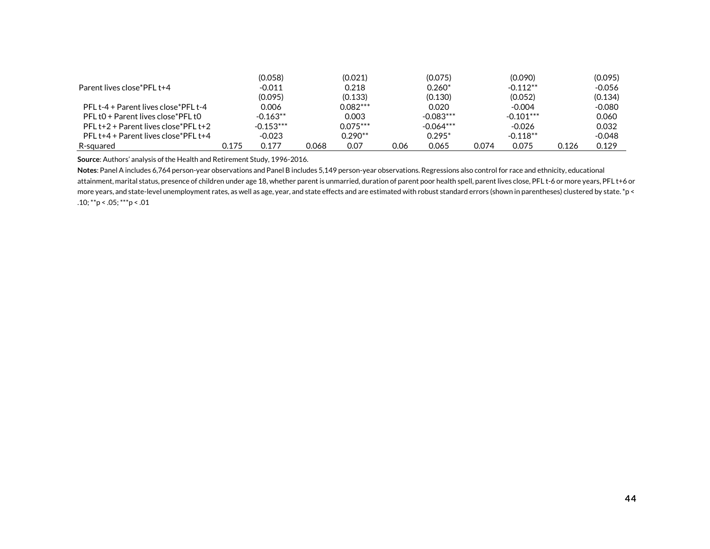|                                          |       | (0.058)     |       | (0.021)    |      | (0.075)     |       | (0.090)     |       | (0.095)  |
|------------------------------------------|-------|-------------|-------|------------|------|-------------|-------|-------------|-------|----------|
| Parent lives close*PFL t+4               |       | $-0.011$    |       | 0.218      |      | $0.260*$    |       | $-0.112**$  |       | $-0.056$ |
|                                          |       | (0.095)     |       | (0.133)    |      | (0.130)     |       | (0.052)     |       | (0.134)  |
| PFL t-4 + Parent lives close*PFL t-4     |       | 0.006       |       | $0.082***$ |      | 0.020       |       | $-0.004$    |       | $-0.080$ |
| PFL t0 + Parent lives close*PFL t0       |       | $-0.163**$  |       | 0.003      |      | $-0.083***$ |       | $-0.101***$ |       | 0.060    |
| PFL $t+2$ + Parent lives close*PFL $t+2$ |       | $-0.153***$ |       | $0.075***$ |      | $-0.064***$ |       | $-0.026$    |       | 0.032    |
| PFL t+4 + Parent lives close*PFL t+4     |       | $-0.023$    |       | $0.290**$  |      | $0.295*$    |       | $-0.118**$  |       | $-0.048$ |
| R-squared                                | 0.175 | 0.177       | 0.068 | 0.07       | 0.06 | 0.065       | 0.074 | 0.075       | 0.126 | 0.129    |

**Source**: Authors' analysis of the Health and Retirement Study, 1996-2016.

**Notes**: Panel A includes 6,764 person-year observations and Panel B includes 5,149 person-year observations. Regressions also control for race and ethnicity, educational attainment, marital status, presence of children under age 18, whether parent is unmarried, duration of parent poor health spell, parent lives close, PFL t-6 or more years, PFL t+6 or more years, and state-level unemployment rates, as well as age, year, and state effects and are estimated with robust standard errors (shown in parentheses) clustered by state. \*p < .10; \*\*p < .05; \*\*\*p < .01